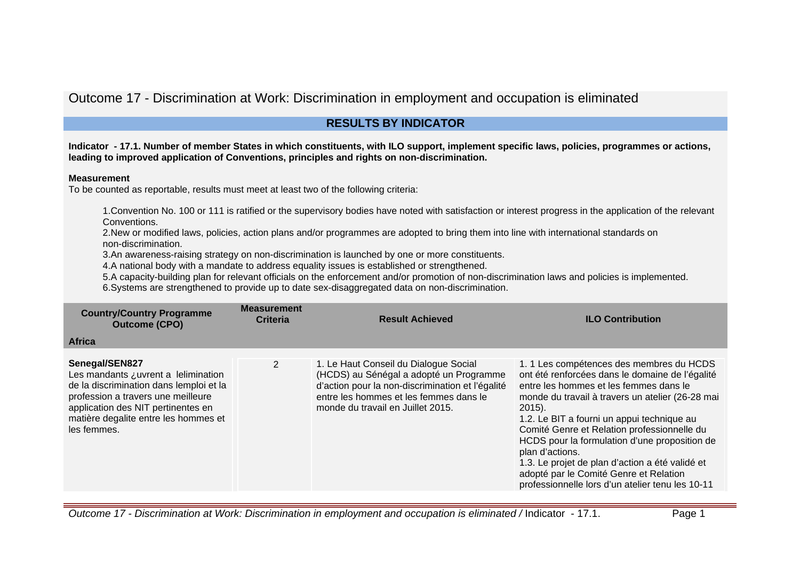# Outcome 17 - Discrimination at Work: Discrimination in employment and occupation is eliminated

## **RESULTS BY INDICATOR**

**Indicator - 17.1. Number of member States in which constituents, with ILO support, implement specific laws, policies, programmes or actions, leading to improved application of Conventions, principles and rights on non-discrimination.**

#### **Measurement**

To be counted as reportable, results must meet at least two of the following criteria:

1.Convention No. 100 or 111 is ratified or the supervisory bodies have noted with satisfaction or interest progress in the application of the relevant Conventions.

2.New or modified laws, policies, action plans and/or programmes are adopted to bring them into line with international standards on non-discrimination.

3.An awareness-raising strategy on non-discrimination is launched by one or more constituents.

4.A national body with a mandate to address equality issues is established or strengthened.

5.A capacity-building plan for relevant officials on the enforcement and/or promotion of non-discrimination laws and policies is implemented.

6.Systems are strengthened to provide up to date sex-disaggregated data on non-discrimination.

| <b>Country/Country Programme</b><br><b>Outcome (CPO)</b>                                                                                                                                                                            | <b>Measurement</b><br><b>Criteria</b> | <b>Result Achieved</b>                                                                                                                                                                                              | <b>ILO Contribution</b>                                                                                                                                                                                                                                                                                                                                                                                                                                                                                                  |
|-------------------------------------------------------------------------------------------------------------------------------------------------------------------------------------------------------------------------------------|---------------------------------------|---------------------------------------------------------------------------------------------------------------------------------------------------------------------------------------------------------------------|--------------------------------------------------------------------------------------------------------------------------------------------------------------------------------------------------------------------------------------------------------------------------------------------------------------------------------------------------------------------------------------------------------------------------------------------------------------------------------------------------------------------------|
| <b>Africa</b>                                                                                                                                                                                                                       |                                       |                                                                                                                                                                                                                     |                                                                                                                                                                                                                                                                                                                                                                                                                                                                                                                          |
| Senegal/SEN827<br>Les mandants ¿uvrent a lelimination<br>de la discrimination dans lemploi et la<br>profession a travers une meilleure<br>application des NIT pertinentes en<br>matière degalite entre les hommes et<br>les femmes. | $\mathbf{2}$                          | 1. Le Haut Conseil du Dialogue Social<br>(HCDS) au Sénégal a adopté un Programme<br>d'action pour la non-discrimination et l'égalité<br>entre les hommes et les femmes dans le<br>monde du travail en Juillet 2015. | 1. 1 Les compétences des membres du HCDS<br>ont été renforcées dans le domaine de l'égalité<br>entre les hommes et les femmes dans le<br>monde du travail à travers un atelier (26-28 mai<br>$2015$ ).<br>1.2. Le BIT a fourni un appui technique au<br>Comité Genre et Relation professionnelle du<br>HCDS pour la formulation d'une proposition de<br>plan d'actions.<br>1.3. Le projet de plan d'action a été validé et<br>adopté par le Comité Genre et Relation<br>professionnelle lors d'un atelier tenu les 10-11 |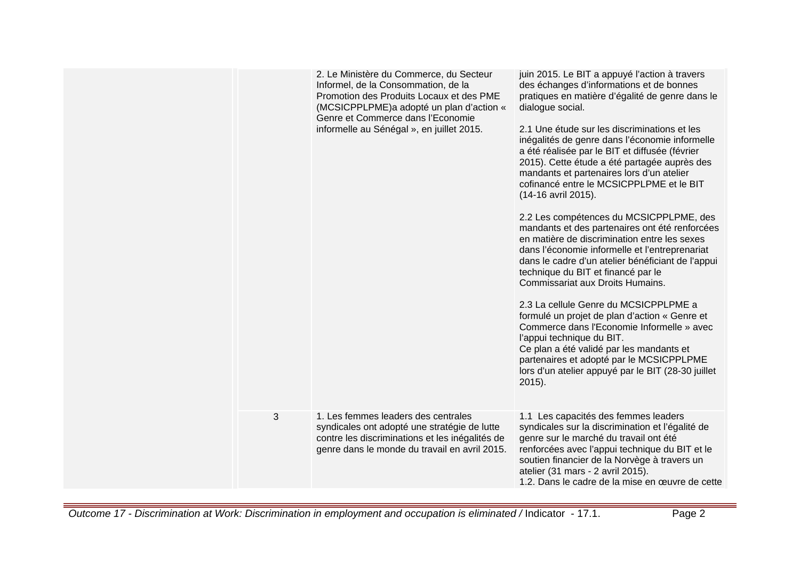|                | 2. Le Ministère du Commerce, du Secteur<br>Informel, de la Consommation, de la<br>Promotion des Produits Locaux et des PME<br>(MCSICPPLPME)a adopté un plan d'action «<br>Genre et Commerce dans l'Economie<br>informelle au Sénégal », en juillet 2015. | juin 2015. Le BIT a appuyé l'action à travers<br>des échanges d'informations et de bonnes<br>pratiques en matière d'égalité de genre dans le<br>dialogue social.<br>2.1 Une étude sur les discriminations et les<br>inégalités de genre dans l'économie informelle<br>a été réalisée par le BIT et diffusée (février<br>2015). Cette étude a été partagée auprès des<br>mandants et partenaires lors d'un atelier<br>cofinancé entre le MCSICPPLPME et le BIT<br>(14-16 avril 2015).<br>2.2 Les compétences du MCSICPPLPME, des<br>mandants et des partenaires ont été renforcées<br>en matière de discrimination entre les sexes<br>dans l'économie informelle et l'entreprenariat<br>dans le cadre d'un atelier bénéficiant de l'appui<br>technique du BIT et financé par le<br>Commissariat aux Droits Humains. |
|----------------|----------------------------------------------------------------------------------------------------------------------------------------------------------------------------------------------------------------------------------------------------------|--------------------------------------------------------------------------------------------------------------------------------------------------------------------------------------------------------------------------------------------------------------------------------------------------------------------------------------------------------------------------------------------------------------------------------------------------------------------------------------------------------------------------------------------------------------------------------------------------------------------------------------------------------------------------------------------------------------------------------------------------------------------------------------------------------------------|
|                |                                                                                                                                                                                                                                                          | 2.3 La cellule Genre du MCSICPPLPME a<br>formulé un projet de plan d'action « Genre et<br>Commerce dans l'Economie Informelle » avec<br>l'appui technique du BIT.<br>Ce plan a été validé par les mandants et<br>partenaires et adopté par le MCSICPPLPME<br>lors d'un atelier appuyé par le BIT (28-30 juillet<br>$2015$ ).                                                                                                                                                                                                                                                                                                                                                                                                                                                                                       |
| $\mathfrak{S}$ | 1. Les femmes leaders des centrales<br>syndicales ont adopté une stratégie de lutte<br>contre les discriminations et les inégalités de<br>genre dans le monde du travail en avril 2015.                                                                  | 1.1 Les capacités des femmes leaders<br>syndicales sur la discrimination et l'égalité de<br>genre sur le marché du travail ont été<br>renforcées avec l'appui technique du BIT et le<br>soutien financier de la Norvège à travers un<br>atelier (31 mars - 2 avril 2015).<br>1.2. Dans le cadre de la mise en œuvre de cette                                                                                                                                                                                                                                                                                                                                                                                                                                                                                       |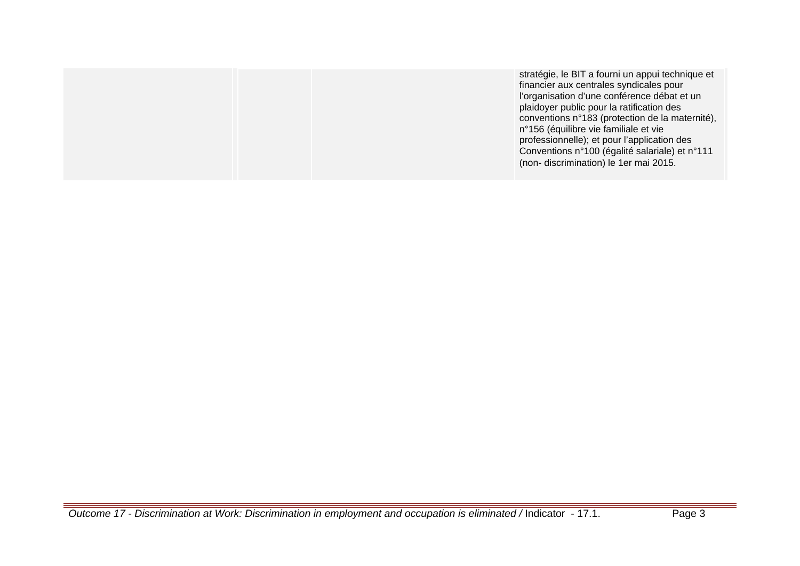|  | stratégie, le BIT a fourni un appui technique et<br>financier aux centrales syndicales pour<br>l'organisation d'une conférence débat et un<br>plaidoyer public pour la ratification des<br>conventions n°183 (protection de la maternité),<br>n°156 (équilibre vie familiale et vie<br>professionnelle); et pour l'application des<br>Conventions n°100 (égalité salariale) et n°111<br>(non-discrimination) le 1er mai 2015. |
|--|-------------------------------------------------------------------------------------------------------------------------------------------------------------------------------------------------------------------------------------------------------------------------------------------------------------------------------------------------------------------------------------------------------------------------------|
|--|-------------------------------------------------------------------------------------------------------------------------------------------------------------------------------------------------------------------------------------------------------------------------------------------------------------------------------------------------------------------------------------------------------------------------------|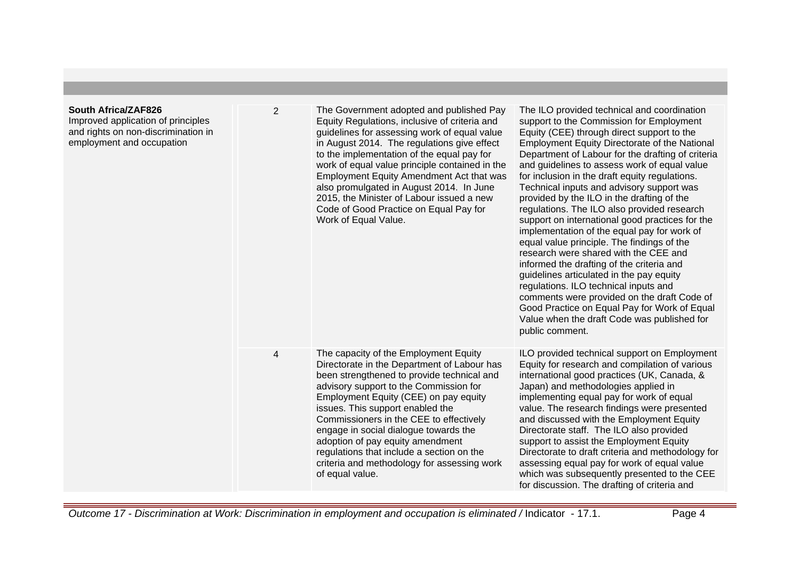| <b>South Africa/ZAF826</b><br>Improved application of principles<br>and rights on non-discrimination in<br>employment and occupation | $\overline{2}$          | The Government adopted and published Pay<br>Equity Regulations, inclusive of criteria and<br>guidelines for assessing work of equal value<br>in August 2014. The regulations give effect<br>to the implementation of the equal pay for<br>work of equal value principle contained in the<br>Employment Equity Amendment Act that was<br>also promulgated in August 2014. In June<br>2015, the Minister of Labour issued a new<br>Code of Good Practice on Equal Pay for<br>Work of Equal Value.  | The ILO provided technical and coordination<br>support to the Commission for Employment<br>Equity (CEE) through direct support to the<br><b>Employment Equity Directorate of the National</b><br>Department of Labour for the drafting of criteria<br>and guidelines to assess work of equal value<br>for inclusion in the draft equity regulations.<br>Technical inputs and advisory support was<br>provided by the ILO in the drafting of the<br>regulations. The ILO also provided research<br>support on international good practices for the<br>implementation of the equal pay for work of<br>equal value principle. The findings of the<br>research were shared with the CEE and<br>informed the drafting of the criteria and<br>guidelines articulated in the pay equity<br>regulations. ILO technical inputs and<br>comments were provided on the draft Code of<br>Good Practice on Equal Pay for Work of Equal<br>Value when the draft Code was published for<br>public comment. |
|--------------------------------------------------------------------------------------------------------------------------------------|-------------------------|--------------------------------------------------------------------------------------------------------------------------------------------------------------------------------------------------------------------------------------------------------------------------------------------------------------------------------------------------------------------------------------------------------------------------------------------------------------------------------------------------|--------------------------------------------------------------------------------------------------------------------------------------------------------------------------------------------------------------------------------------------------------------------------------------------------------------------------------------------------------------------------------------------------------------------------------------------------------------------------------------------------------------------------------------------------------------------------------------------------------------------------------------------------------------------------------------------------------------------------------------------------------------------------------------------------------------------------------------------------------------------------------------------------------------------------------------------------------------------------------------------|
|                                                                                                                                      | $\overline{\mathbf{4}}$ | The capacity of the Employment Equity<br>Directorate in the Department of Labour has<br>been strengthened to provide technical and<br>advisory support to the Commission for<br>Employment Equity (CEE) on pay equity<br>issues. This support enabled the<br>Commissioners in the CEE to effectively<br>engage in social dialogue towards the<br>adoption of pay equity amendment<br>regulations that include a section on the<br>criteria and methodology for assessing work<br>of equal value. | ILO provided technical support on Employment<br>Equity for research and compilation of various<br>international good practices (UK, Canada, &<br>Japan) and methodologies applied in<br>implementing equal pay for work of equal<br>value. The research findings were presented<br>and discussed with the Employment Equity<br>Directorate staff. The ILO also provided<br>support to assist the Employment Equity<br>Directorate to draft criteria and methodology for<br>assessing equal pay for work of equal value<br>which was subsequently presented to the CEE<br>for discussion. The drafting of criteria and                                                                                                                                                                                                                                                                                                                                                                      |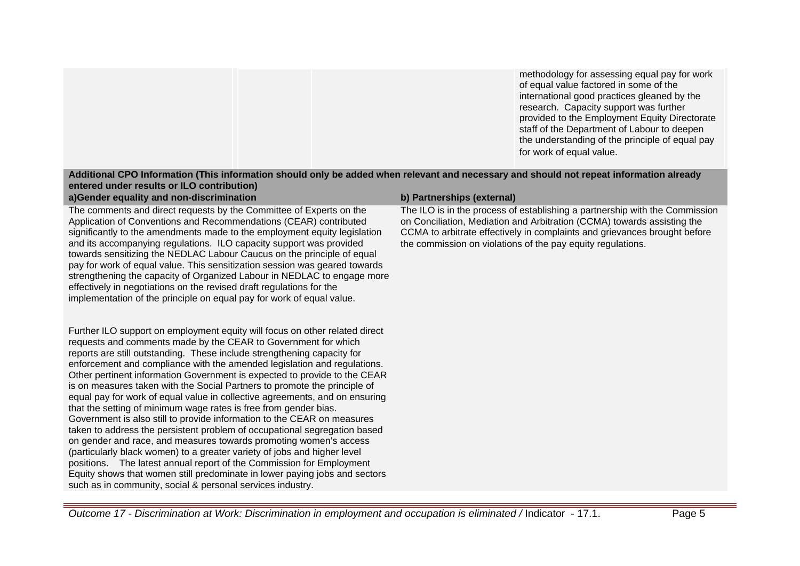methodology for assessing equal pay for work of equal value factored in some of the international good practices gleaned by the research. Capacity support was further provided to the Employment Equity Directorate staff of the Department of Labour to deepen the understanding of the principle of equal pay for work of equal value.

#### **Additional CPO Information (This information should only be added when relevant and necessary and should not repeat information already entered under results or ILO contribution) a)Gender equality and non-discrimination b) Partnerships (external)**

The comments and direct requests by the Committee of Experts on the Application of Conventions and Recommendations (CEAR) contributed significantly to the amendments made to the employment equity legislation and its accompanying regulations. ILO capacity support was provided towards sensitizing the NEDLAC Labour Caucus on the principle of equal pay for work of equal value. This sensitization session was geared towards strengthening the capacity of Organized Labour in NEDLAC to engage more effectively in negotiations on the revised draft regulations for the implementation of the principle on equal pay for work of equal value.

Further ILO support on employment equity will focus on other related direct requests and comments made by the CEAR to Government for which reports are still outstanding. These include strengthening capacity for enforcement and compliance with the amended legislation and regulations. Other pertinent information Government is expected to provide to the CEAR is on measures taken with the Social Partners to promote the principle of equal pay for work of equal value in collective agreements, and on ensuring that the setting of minimum wage rates is free from gender bias. Government is also still to provide information to the CEAR on measures taken to address the persistent problem of occupational segregation based on gender and race, and measures towards promoting women's access (particularly black women) to a greater variety of jobs and higher level positions. The latest annual report of the Commission for Employment Equity shows that women still predominate in lower paying jobs and sectors such as in community, social & personal services industry.

The ILO is in the process of establishing a partnership with the Commission on Conciliation, Mediation and Arbitration (CCMA) towards assisting the CCMA to arbitrate effectively in complaints and grievances brought before the commission on violations of the pay equity regulations.

Outcome 17 - Discrimination at Work: Discrimination in employment and occupation is eliminated / Indicator - 17.1. Page 5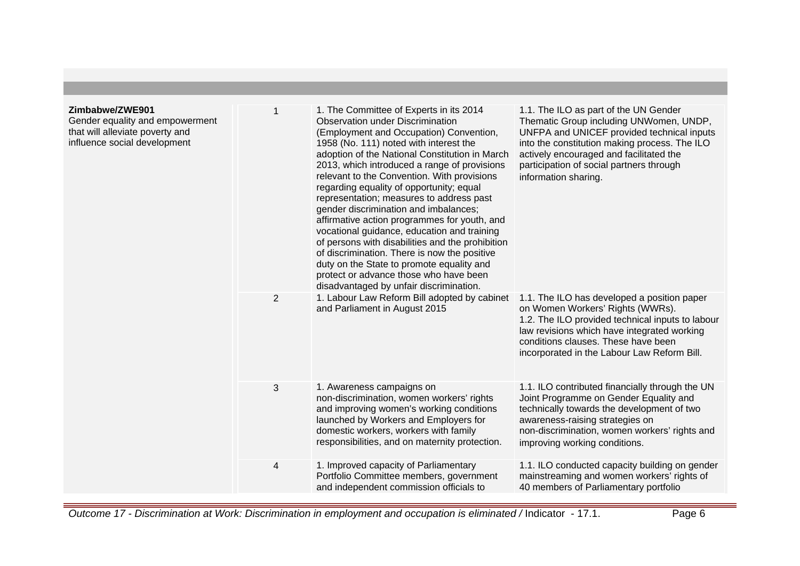#### **Zimbabwe/ZWE901** Gender equality and empowerment that will alleviate poverty and influence social development 1 1. The Committee of Experts in its 2014 Observation under Discrimination (Employment and Occupation) Convention, 1958 (No. 111) noted with interest the adoption of the National Constitution in March 2013, which introduced a range of provisions relevant to the Convention. With provisions regarding equality of opportunity; equal representation; measures to address past gender discrimination and imbalances; affirmative action programmes for youth, and vocational guidance, education and training of persons with disabilities and the prohibition of discrimination. There is now the positive duty on the State to promote equality and protect or advance those who have been disadvantaged by unfair discrimination. 1.1. The ILO as part of the UN Gender Thematic Group including UNWomen, UNDP, UNFPA and UNICEF provided technical inputs into the constitution making process. The ILO actively encouraged and facilitated the participation of social partners through information sharing. 2 1. Labour Law Reform Bill adopted by cabinet and Parliament in August 2015 1.1. The ILO has developed a position paper on Women Workers' Rights (WWRs). 1.2. The ILO provided technical inputs to labour law revisions which have integrated working conditions clauses. These have been incorporated in the Labour Law Reform Bill. 3 1. Awareness campaigns on non-discrimination, women workers' rights and improving women's working conditions launched by Workers and Employers for domestic workers, workers with family responsibilities, and on maternity protection. 1.1. ILO contributed financially through the UN Joint Programme on Gender Equality and technically towards the development of two awareness-raising strategies on non-discrimination, women workers' rights and improving working conditions. 4 1. Improved capacity of Parliamentary Portfolio Committee members, government and independent commission officials to 1.1. ILO conducted capacity building on gender mainstreaming and women workers' rights of 40 members of Parliamentary portfolio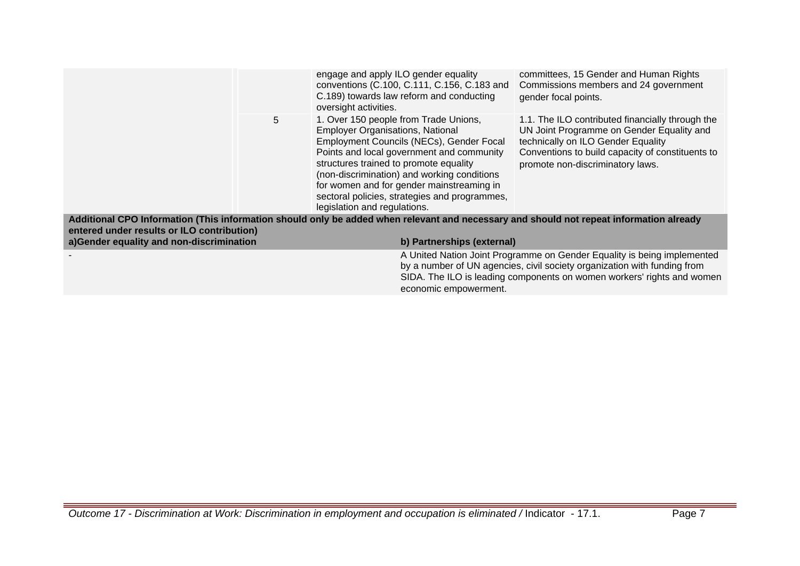|                                            |   | engage and apply ILO gender equality<br>oversight activities.                                                     | conventions (C.100, C.111, C.156, C.183 and<br>C.189) towards law reform and conducting                                                                                                                                                                                     | committees, 15 Gender and Human Rights<br>Commissions members and 24 government<br>gender focal points.                                                                                                                       |
|--------------------------------------------|---|-------------------------------------------------------------------------------------------------------------------|-----------------------------------------------------------------------------------------------------------------------------------------------------------------------------------------------------------------------------------------------------------------------------|-------------------------------------------------------------------------------------------------------------------------------------------------------------------------------------------------------------------------------|
|                                            | 5 | <b>Employer Organisations, National</b><br>structures trained to promote equality<br>legislation and regulations. | 1. Over 150 people from Trade Unions,<br>Employment Councils (NECs), Gender Focal<br>Points and local government and community<br>(non-discrimination) and working conditions<br>for women and for gender mainstreaming in<br>sectoral policies, strategies and programmes, | 1.1. The ILO contributed financially through the<br>UN Joint Programme on Gender Equality and<br>technically on ILO Gender Equality<br>Conventions to build capacity of constituents to<br>promote non-discriminatory laws.   |
| entered under results or ILO contribution) |   |                                                                                                                   |                                                                                                                                                                                                                                                                             | Additional CPO Information (This information should only be added when relevant and necessary and should not repeat information already                                                                                       |
| a)Gender equality and non-discrimination   |   |                                                                                                                   | b) Partnerships (external)                                                                                                                                                                                                                                                  |                                                                                                                                                                                                                               |
|                                            |   |                                                                                                                   | economic empowerment.                                                                                                                                                                                                                                                       | A United Nation Joint Programme on Gender Equality is being implemented<br>by a number of UN agencies, civil society organization with funding from<br>SIDA. The ILO is leading components on women workers' rights and women |
|                                            |   |                                                                                                                   |                                                                                                                                                                                                                                                                             |                                                                                                                                                                                                                               |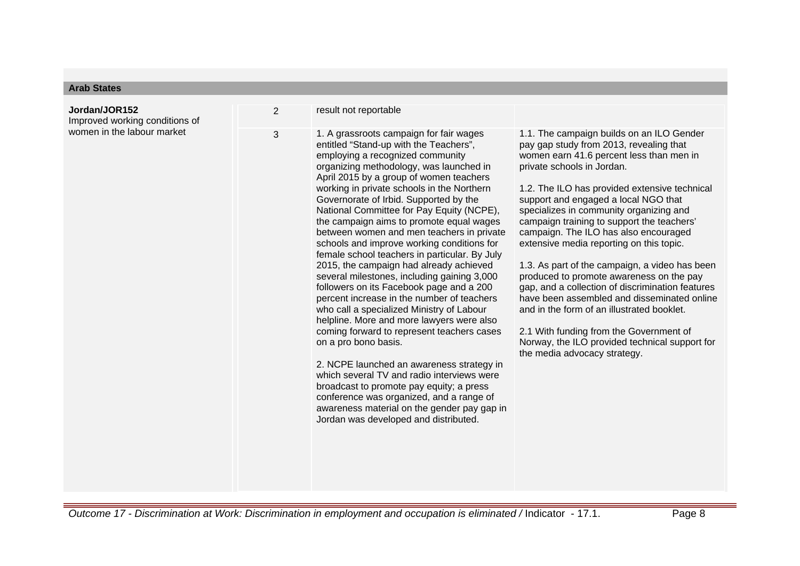| <b>Arab States</b>                              |                |                                                                                                                                                                                                                                                                                                                                                                                                                                                                                                                                                                                                                                                                                                                                                                                                                                                                                                                                                                                                                                                                                                                                                                         |                                                                                                                                                                                                                                                                                                                                                                                                                                                                                                                                                                                                                                                                                                                                                                                                                   |
|-------------------------------------------------|----------------|-------------------------------------------------------------------------------------------------------------------------------------------------------------------------------------------------------------------------------------------------------------------------------------------------------------------------------------------------------------------------------------------------------------------------------------------------------------------------------------------------------------------------------------------------------------------------------------------------------------------------------------------------------------------------------------------------------------------------------------------------------------------------------------------------------------------------------------------------------------------------------------------------------------------------------------------------------------------------------------------------------------------------------------------------------------------------------------------------------------------------------------------------------------------------|-------------------------------------------------------------------------------------------------------------------------------------------------------------------------------------------------------------------------------------------------------------------------------------------------------------------------------------------------------------------------------------------------------------------------------------------------------------------------------------------------------------------------------------------------------------------------------------------------------------------------------------------------------------------------------------------------------------------------------------------------------------------------------------------------------------------|
| Jordan/JOR152<br>Improved working conditions of | $\overline{2}$ | result not reportable                                                                                                                                                                                                                                                                                                                                                                                                                                                                                                                                                                                                                                                                                                                                                                                                                                                                                                                                                                                                                                                                                                                                                   |                                                                                                                                                                                                                                                                                                                                                                                                                                                                                                                                                                                                                                                                                                                                                                                                                   |
| women in the labour market                      | 3              | 1. A grassroots campaign for fair wages<br>entitled "Stand-up with the Teachers",<br>employing a recognized community<br>organizing methodology, was launched in<br>April 2015 by a group of women teachers<br>working in private schools in the Northern<br>Governorate of Irbid. Supported by the<br>National Committee for Pay Equity (NCPE),<br>the campaign aims to promote equal wages<br>between women and men teachers in private<br>schools and improve working conditions for<br>female school teachers in particular. By July<br>2015, the campaign had already achieved<br>several milestones, including gaining 3,000<br>followers on its Facebook page and a 200<br>percent increase in the number of teachers<br>who call a specialized Ministry of Labour<br>helpline. More and more lawyers were also<br>coming forward to represent teachers cases<br>on a pro bono basis.<br>2. NCPE launched an awareness strategy in<br>which several TV and radio interviews were<br>broadcast to promote pay equity; a press<br>conference was organized, and a range of<br>awareness material on the gender pay gap in<br>Jordan was developed and distributed. | 1.1. The campaign builds on an ILO Gender<br>pay gap study from 2013, revealing that<br>women earn 41.6 percent less than men in<br>private schools in Jordan.<br>1.2. The ILO has provided extensive technical<br>support and engaged a local NGO that<br>specializes in community organizing and<br>campaign training to support the teachers'<br>campaign. The ILO has also encouraged<br>extensive media reporting on this topic.<br>1.3. As part of the campaign, a video has been<br>produced to promote awareness on the pay<br>gap, and a collection of discrimination features<br>have been assembled and disseminated online<br>and in the form of an illustrated booklet.<br>2.1 With funding from the Government of<br>Norway, the ILO provided technical support for<br>the media advocacy strategy. |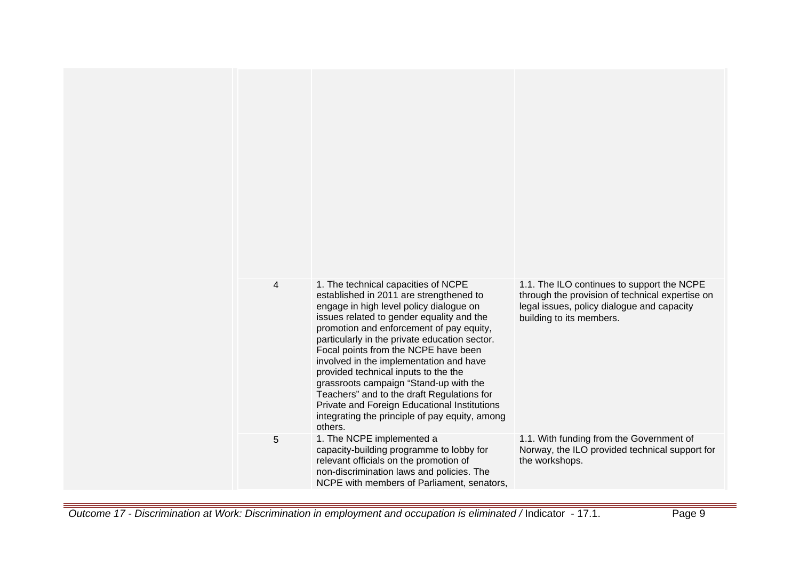| $\overline{4}$ | 1. The technical capacities of NCPE<br>established in 2011 are strengthened to<br>engage in high level policy dialogue on<br>issues related to gender equality and the<br>promotion and enforcement of pay equity,<br>particularly in the private education sector.<br>Focal points from the NCPE have been<br>involved in the implementation and have<br>provided technical inputs to the the<br>grassroots campaign "Stand-up with the<br>Teachers" and to the draft Regulations for<br>Private and Foreign Educational Institutions<br>integrating the principle of pay equity, among<br>others. | 1.1. The ILO continues to support the NCPE<br>through the provision of technical expertise on<br>legal issues, policy dialogue and capacity<br>building to its members. |
|----------------|-----------------------------------------------------------------------------------------------------------------------------------------------------------------------------------------------------------------------------------------------------------------------------------------------------------------------------------------------------------------------------------------------------------------------------------------------------------------------------------------------------------------------------------------------------------------------------------------------------|-------------------------------------------------------------------------------------------------------------------------------------------------------------------------|
| 5              | 1. The NCPE implemented a<br>capacity-building programme to lobby for<br>relevant officials on the promotion of<br>non-discrimination laws and policies. The<br>NCPE with members of Parliament, senators,                                                                                                                                                                                                                                                                                                                                                                                          | 1.1. With funding from the Government of<br>Norway, the ILO provided technical support for<br>the workshops.                                                            |

Outcome 17 - Discrimination at Work: Discrimination in employment and occupation is eliminated / Indicator - 17.1. Page 9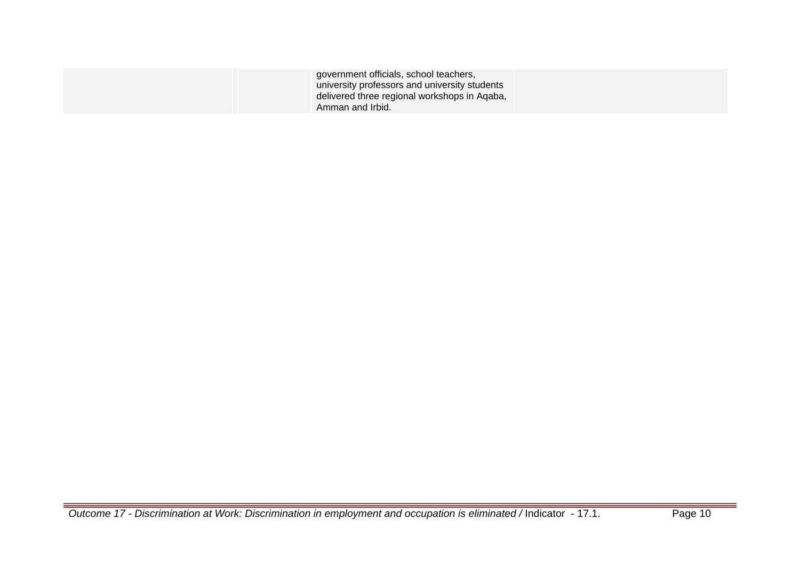| government officials, school teachers,                                                        |  |
|-----------------------------------------------------------------------------------------------|--|
| university professors and university students<br>delivered three regional workshops in Aqaba, |  |
| Amman and Irbid.                                                                              |  |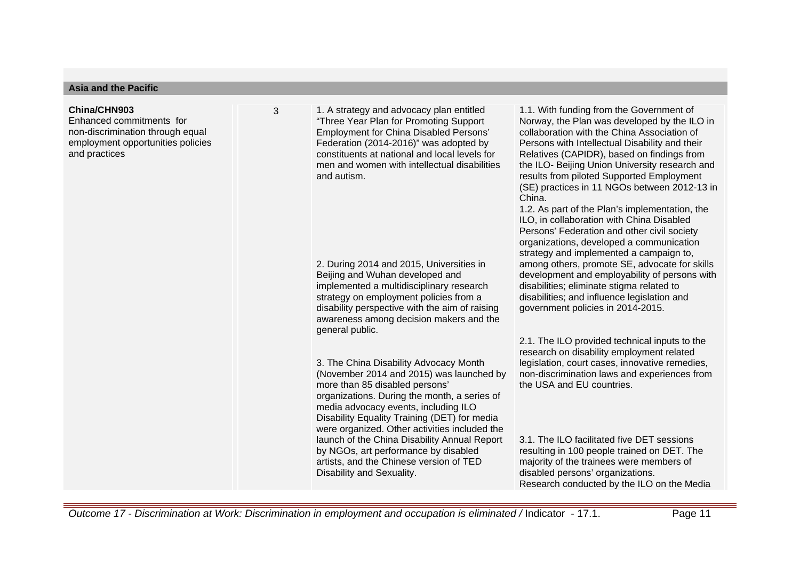#### **Asia and the Pacific**

#### **China/CHN903**

Enhanced commitments for non-discrimination through equal employment opportunities policies and practices

3 1. A strategy and advocacy plan entitled "Three Year Plan for Promoting Support Employment for China Disabled Persons' Federation (2014-2016)" was adopted by constituents at national and local levels for men and women with intellectual disabilities and autism.

> 2. During 2014 and 2015, Universities in Beijing and Wuhan developed and implemented a multidisciplinary research strategy on employment policies from a disability perspective with the aim of raising awareness among decision makers and the general public.

3. The China Disability Advocacy Month (November 2014 and 2015) was launched by more than 85 disabled persons' organizations. During the month, a series of media advocacy events, including ILO Disability Equality Training (DET) for media were organized. Other activities included the launch of the China Disability Annual Report by NGOs, art performance by disabled artists, and the Chinese version of TED Disability and Sexuality.

1.1. With funding from the Government of Norway, the Plan was developed by the ILO in collaboration with the China Association of Persons with Intellectual Disability and their Relatives (CAPIDR), based on findings from the ILO- Beijing Union University research and results from piloted Supported Employment (SE) practices in 11 NGOs between 2012-13 in China.

1.2. As part of the Plan's implementation, the ILO, in collaboration with China Disabled Persons' Federation and other civil society organizations, developed a communication strategy and implemented a campaign to, among others, promote SE, advocate for skills development and employability of persons with disabilities; eliminate stigma related to disabilities; and influence legislation and government policies in 2014-2015.

2.1. The ILO provided technical inputs to the research on disability employment related legislation, court cases, innovative remedies, non-discrimination laws and experiences from the USA and EU countries.

3.1. The ILO facilitated five DET sessions resulting in 100 people trained on DET. The majority of the trainees were members of disabled persons' organizations. Research conducted by the ILO on the Media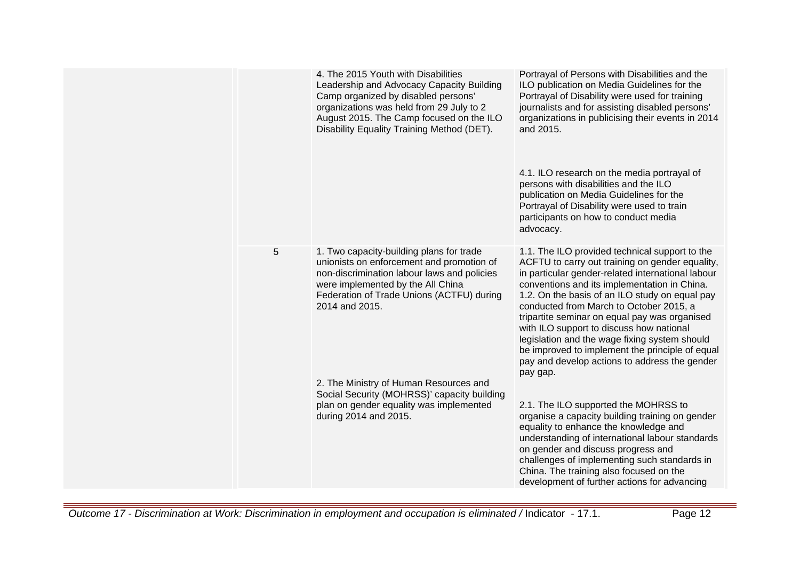|   | 4. The 2015 Youth with Disabilities<br>Leadership and Advocacy Capacity Building<br>Camp organized by disabled persons'<br>organizations was held from 29 July to 2<br>August 2015. The Camp focused on the ILO<br>Disability Equality Training Method (DET). | Portrayal of Persons with Disabilities and the<br>ILO publication on Media Guidelines for the<br>Portrayal of Disability were used for training<br>journalists and for assisting disabled persons'<br>organizations in publicising their events in 2014<br>and 2015.<br>4.1. ILO research on the media portrayal of<br>persons with disabilities and the ILO<br>publication on Media Guidelines for the<br>Portrayal of Disability were used to train                                                                                                             |
|---|---------------------------------------------------------------------------------------------------------------------------------------------------------------------------------------------------------------------------------------------------------------|-------------------------------------------------------------------------------------------------------------------------------------------------------------------------------------------------------------------------------------------------------------------------------------------------------------------------------------------------------------------------------------------------------------------------------------------------------------------------------------------------------------------------------------------------------------------|
|   |                                                                                                                                                                                                                                                               | participants on how to conduct media<br>advocacy.                                                                                                                                                                                                                                                                                                                                                                                                                                                                                                                 |
| 5 | 1. Two capacity-building plans for trade<br>unionists on enforcement and promotion of<br>non-discrimination labour laws and policies<br>were implemented by the All China<br>Federation of Trade Unions (ACTFU) during<br>2014 and 2015.                      | 1.1. The ILO provided technical support to the<br>ACFTU to carry out training on gender equality,<br>in particular gender-related international labour<br>conventions and its implementation in China.<br>1.2. On the basis of an ILO study on equal pay<br>conducted from March to October 2015, a<br>tripartite seminar on equal pay was organised<br>with ILO support to discuss how national<br>legislation and the wage fixing system should<br>be improved to implement the principle of equal<br>pay and develop actions to address the gender<br>pay gap. |
|   | 2. The Ministry of Human Resources and<br>Social Security (MOHRSS)' capacity building<br>plan on gender equality was implemented<br>during 2014 and 2015.                                                                                                     | 2.1. The ILO supported the MOHRSS to<br>organise a capacity building training on gender<br>equality to enhance the knowledge and<br>understanding of international labour standards<br>on gender and discuss progress and<br>challenges of implementing such standards in<br>China. The training also focused on the<br>development of further actions for advancing                                                                                                                                                                                              |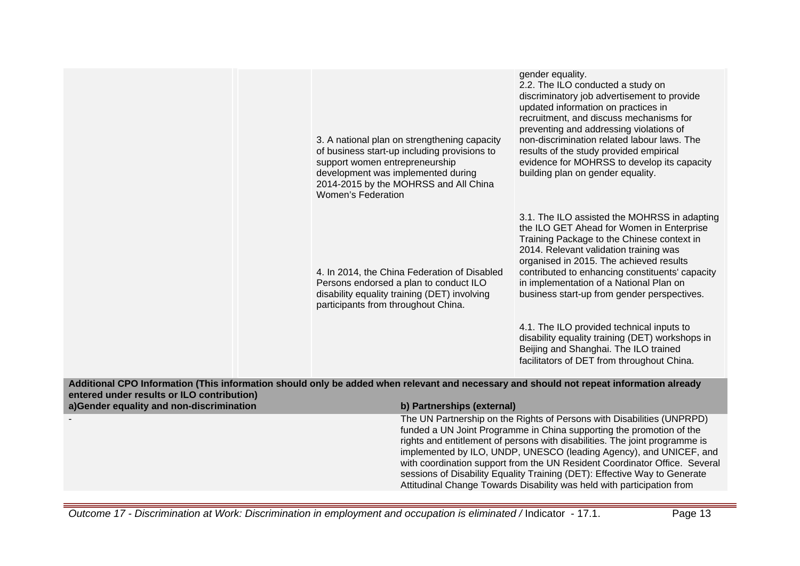| 3. A national plan on strengthening capacity<br>of business start-up including provisions to<br>support women entrepreneurship<br>development was implemented during<br>2014-2015 by the MOHRSS and All China<br><b>Women's Federation</b> | gender equality.<br>2.2. The ILO conducted a study on<br>discriminatory job advertisement to provide<br>updated information on practices in<br>recruitment, and discuss mechanisms for<br>preventing and addressing violations of<br>non-discrimination related labour laws. The<br>results of the study provided empirical<br>evidence for MOHRSS to develop its capacity<br>building plan on gender equality.                                                                                                                                                  |
|--------------------------------------------------------------------------------------------------------------------------------------------------------------------------------------------------------------------------------------------|------------------------------------------------------------------------------------------------------------------------------------------------------------------------------------------------------------------------------------------------------------------------------------------------------------------------------------------------------------------------------------------------------------------------------------------------------------------------------------------------------------------------------------------------------------------|
| 4. In 2014, the China Federation of Disabled<br>Persons endorsed a plan to conduct ILO<br>disability equality training (DET) involving<br>participants from throughout China.                                                              | 3.1. The ILO assisted the MOHRSS in adapting<br>the ILO GET Ahead for Women in Enterprise<br>Training Package to the Chinese context in<br>2014. Relevant validation training was<br>organised in 2015. The achieved results<br>contributed to enhancing constituents' capacity<br>in implementation of a National Plan on<br>business start-up from gender perspectives.<br>4.1. The ILO provided technical inputs to<br>disability equality training (DET) workshops in<br>Beijing and Shanghai. The ILO trained<br>facilitators of DET from throughout China. |

**Additional CPO Information (This information should only be added when relevant and necessary and should not repeat information already entered under results or ILO contribution)**

| a)Gender equality and non-discrimination | b) Partnerships (external)                                                                                                                                                                                                                                                                                                                                                                                                                                                                                                               |
|------------------------------------------|------------------------------------------------------------------------------------------------------------------------------------------------------------------------------------------------------------------------------------------------------------------------------------------------------------------------------------------------------------------------------------------------------------------------------------------------------------------------------------------------------------------------------------------|
|                                          | The UN Partnership on the Rights of Persons with Disabilities (UNPRPD)<br>funded a UN Joint Programme in China supporting the promotion of the<br>rights and entitlement of persons with disabilities. The joint programme is<br>implemented by ILO, UNDP, UNESCO (leading Agency), and UNICEF, and<br>with coordination support from the UN Resident Coordinator Office. Several<br>sessions of Disability Equality Training (DET): Effective Way to Generate<br>Attitudinal Change Towards Disability was held with participation from |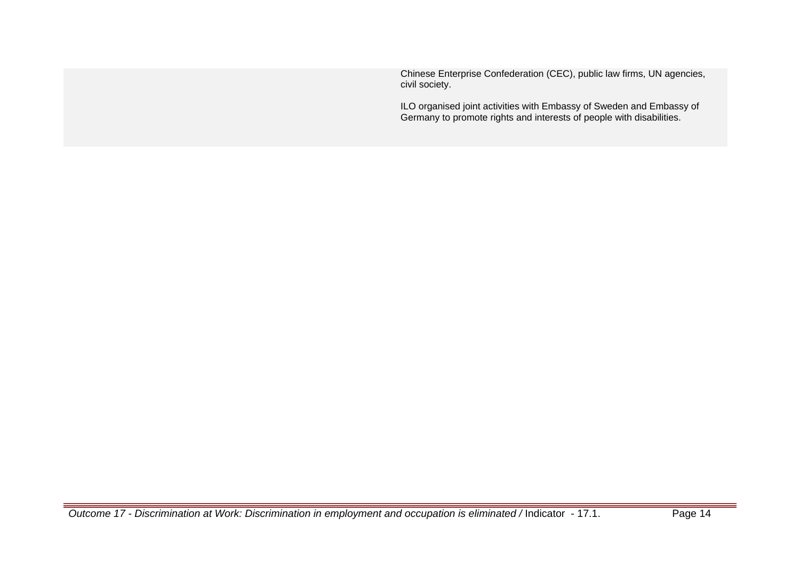Chinese Enterprise Confederation (CEC), public law firms, UN agencies, civil society.

ILO organised joint activities with Embassy of Sweden and Embassy of Germany to promote rights and interests of people with disabilities.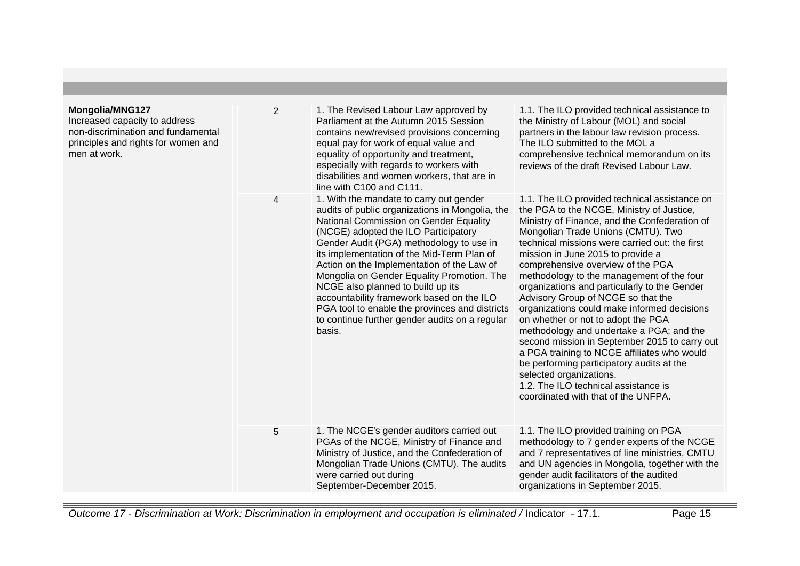| Mongolia/MNG127<br>Increased capacity to address<br>non-discrimination and fundamental<br>principles and rights for women and<br>men at work. | $\overline{2}$ | 1. The Revised Labour Law approved by<br>Parliament at the Autumn 2015 Session<br>contains new/revised provisions concerning<br>equal pay for work of equal value and<br>equality of opportunity and treatment,<br>especially with regards to workers with<br>disabilities and women workers, that are in<br>line with C100 and C111.                                                                                                                                                                                                                              | 1.1. The ILO provided technical assistance to<br>the Ministry of Labour (MOL) and social<br>partners in the labour law revision process.<br>The ILO submitted to the MOL a<br>comprehensive technical memorandum on its<br>reviews of the draft Revised Labour Law.                                                                                                                                                                                                                                                                                                                                                                                                                                                                                                                                                                      |
|-----------------------------------------------------------------------------------------------------------------------------------------------|----------------|--------------------------------------------------------------------------------------------------------------------------------------------------------------------------------------------------------------------------------------------------------------------------------------------------------------------------------------------------------------------------------------------------------------------------------------------------------------------------------------------------------------------------------------------------------------------|------------------------------------------------------------------------------------------------------------------------------------------------------------------------------------------------------------------------------------------------------------------------------------------------------------------------------------------------------------------------------------------------------------------------------------------------------------------------------------------------------------------------------------------------------------------------------------------------------------------------------------------------------------------------------------------------------------------------------------------------------------------------------------------------------------------------------------------|
|                                                                                                                                               | 4              | 1. With the mandate to carry out gender<br>audits of public organizations in Mongolia, the<br>National Commission on Gender Equality<br>(NCGE) adopted the ILO Participatory<br>Gender Audit (PGA) methodology to use in<br>its implementation of the Mid-Term Plan of<br>Action on the Implementation of the Law of<br>Mongolia on Gender Equality Promotion. The<br>NCGE also planned to build up its<br>accountability framework based on the ILO<br>PGA tool to enable the provinces and districts<br>to continue further gender audits on a regular<br>basis. | 1.1. The ILO provided technical assistance on<br>the PGA to the NCGE, Ministry of Justice,<br>Ministry of Finance, and the Confederation of<br>Mongolian Trade Unions (CMTU). Two<br>technical missions were carried out: the first<br>mission in June 2015 to provide a<br>comprehensive overview of the PGA<br>methodology to the management of the four<br>organizations and particularly to the Gender<br>Advisory Group of NCGE so that the<br>organizations could make informed decisions<br>on whether or not to adopt the PGA<br>methodology and undertake a PGA; and the<br>second mission in September 2015 to carry out<br>a PGA training to NCGE affiliates who would<br>be performing participatory audits at the<br>selected organizations.<br>1.2. The ILO technical assistance is<br>coordinated with that of the UNFPA. |
|                                                                                                                                               | 5              | 1. The NCGE's gender auditors carried out<br>PGAs of the NCGE, Ministry of Finance and<br>Ministry of Justice, and the Confederation of<br>Mongolian Trade Unions (CMTU). The audits<br>were carried out during<br>September-December 2015.                                                                                                                                                                                                                                                                                                                        | 1.1. The ILO provided training on PGA<br>methodology to 7 gender experts of the NCGE<br>and 7 representatives of line ministries, CMTU<br>and UN agencies in Mongolia, together with the<br>gender audit facilitators of the audited<br>organizations in September 2015.                                                                                                                                                                                                                                                                                                                                                                                                                                                                                                                                                                 |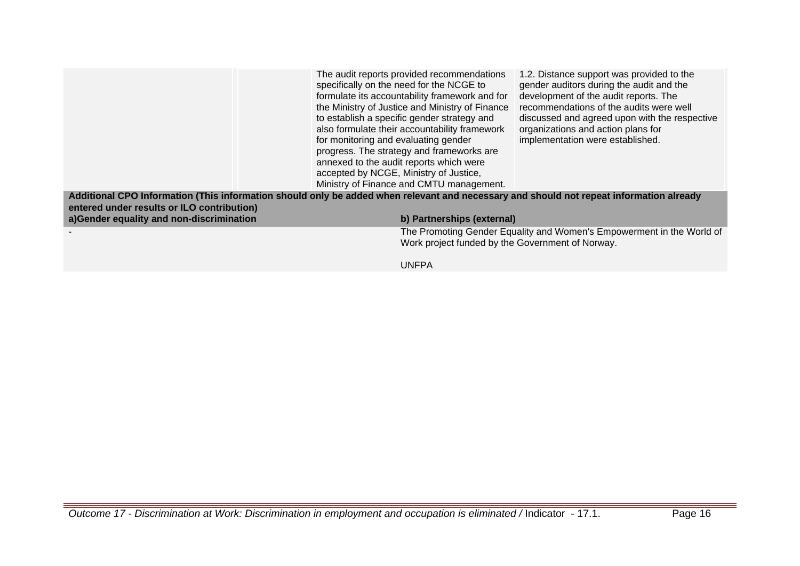|                                                                                                                                                                                       | The audit reports provided recommendations<br>specifically on the need for the NCGE to<br>formulate its accountability framework and for<br>the Ministry of Justice and Ministry of Finance<br>to establish a specific gender strategy and<br>also formulate their accountability framework<br>for monitoring and evaluating gender<br>progress. The strategy and frameworks are<br>annexed to the audit reports which were<br>accepted by NCGE, Ministry of Justice,<br>Ministry of Finance and CMTU management. | 1.2. Distance support was provided to the<br>gender auditors during the audit and the<br>development of the audit reports. The<br>recommendations of the audits were well<br>discussed and agreed upon with the respective<br>organizations and action plans for<br>implementation were established. |
|---------------------------------------------------------------------------------------------------------------------------------------------------------------------------------------|-------------------------------------------------------------------------------------------------------------------------------------------------------------------------------------------------------------------------------------------------------------------------------------------------------------------------------------------------------------------------------------------------------------------------------------------------------------------------------------------------------------------|------------------------------------------------------------------------------------------------------------------------------------------------------------------------------------------------------------------------------------------------------------------------------------------------------|
| Additional CPO Information (This information should only be added when relevant and necessary and should not repeat information already<br>entered under results or ILO contribution) |                                                                                                                                                                                                                                                                                                                                                                                                                                                                                                                   |                                                                                                                                                                                                                                                                                                      |
| a)Gender equality and non-discrimination                                                                                                                                              | b) Partnerships (external)                                                                                                                                                                                                                                                                                                                                                                                                                                                                                        |                                                                                                                                                                                                                                                                                                      |
|                                                                                                                                                                                       | Work project funded by the Government of Norway.                                                                                                                                                                                                                                                                                                                                                                                                                                                                  | The Promoting Gender Equality and Women's Empowerment in the World of                                                                                                                                                                                                                                |

UNFPA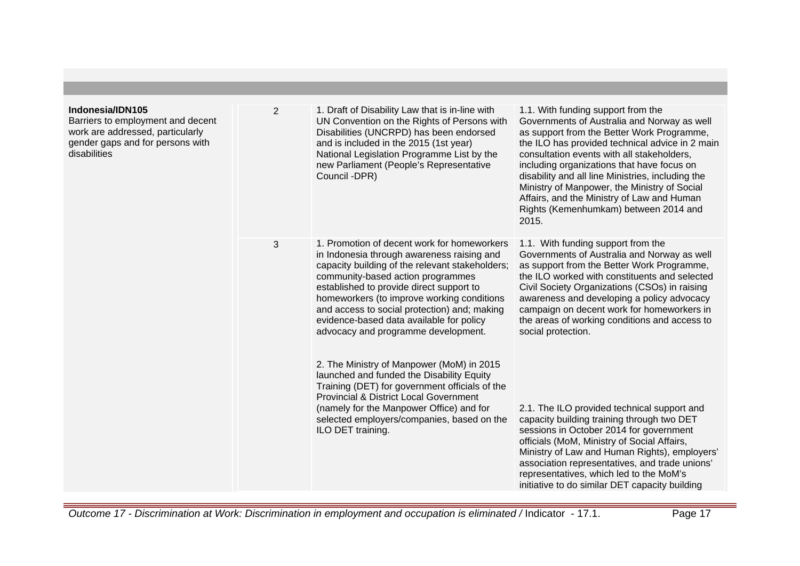| Indonesia/IDN105<br>Barriers to employment and decent<br>work are addressed, particularly<br>gender gaps and for persons with<br>disabilities | $\overline{2}$ | 1. Draft of Disability Law that is in-line with<br>UN Convention on the Rights of Persons with<br>Disabilities (UNCRPD) has been endorsed<br>and is included in the 2015 (1st year)<br>National Legislation Programme List by the<br>new Parliament (People's Representative<br>Council -DPR)                                                                                                                  | 1.1. With funding support from the<br>Governments of Australia and Norway as well<br>as support from the Better Work Programme,<br>the ILO has provided technical advice in 2 main<br>consultation events with all stakeholders,<br>including organizations that have focus on<br>disability and all line Ministries, including the                                                                  |
|-----------------------------------------------------------------------------------------------------------------------------------------------|----------------|----------------------------------------------------------------------------------------------------------------------------------------------------------------------------------------------------------------------------------------------------------------------------------------------------------------------------------------------------------------------------------------------------------------|------------------------------------------------------------------------------------------------------------------------------------------------------------------------------------------------------------------------------------------------------------------------------------------------------------------------------------------------------------------------------------------------------|
|                                                                                                                                               |                |                                                                                                                                                                                                                                                                                                                                                                                                                | Ministry of Manpower, the Ministry of Social<br>Affairs, and the Ministry of Law and Human<br>Rights (Kemenhumkam) between 2014 and<br>2015.                                                                                                                                                                                                                                                         |
|                                                                                                                                               | 3              | 1. Promotion of decent work for homeworkers<br>in Indonesia through awareness raising and<br>capacity building of the relevant stakeholders;<br>community-based action programmes<br>established to provide direct support to<br>homeworkers (to improve working conditions<br>and access to social protection) and; making<br>evidence-based data available for policy<br>advocacy and programme development. | 1.1. With funding support from the<br>Governments of Australia and Norway as well<br>as support from the Better Work Programme,<br>the ILO worked with constituents and selected<br>Civil Society Organizations (CSOs) in raising<br>awareness and developing a policy advocacy<br>campaign on decent work for homeworkers in<br>the areas of working conditions and access to<br>social protection. |
|                                                                                                                                               |                | 2. The Ministry of Manpower (MoM) in 2015<br>launched and funded the Disability Equity<br>Training (DET) for government officials of the<br><b>Provincial &amp; District Local Government</b><br>(namely for the Manpower Office) and for<br>selected employers/companies, based on the<br>ILO DET training.                                                                                                   | 2.1. The ILO provided technical support and<br>capacity building training through two DET<br>sessions in October 2014 for government<br>officials (MoM, Ministry of Social Affairs,<br>Ministry of Law and Human Rights), employers'<br>association representatives, and trade unions'<br>representatives, which led to the MoM's<br>initiative to do similar DET capacity building                  |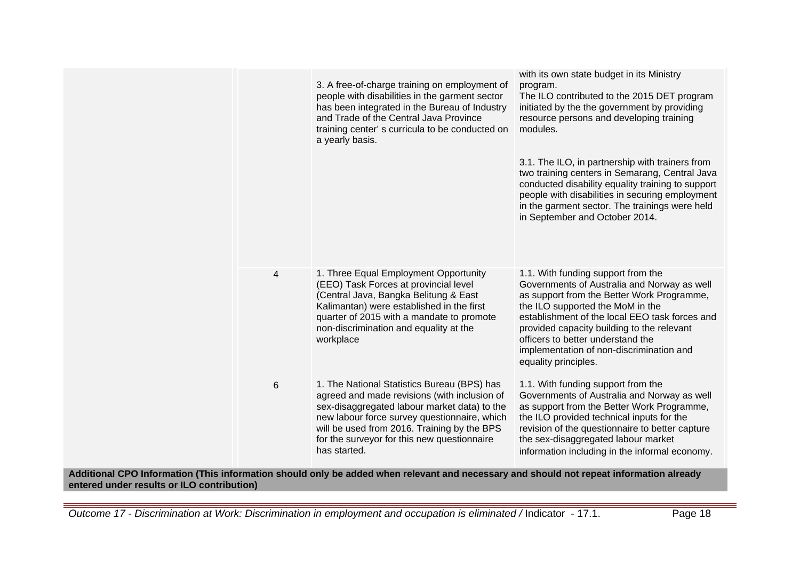|                         |   | 3. A free-of-charge training on employment of<br>people with disabilities in the garment sector<br>has been integrated in the Bureau of Industry<br>and Trade of the Central Java Province<br>training center's curricula to be conducted on<br>a yearly basis.                                           | with its own state budget in its Ministry<br>program.<br>The ILO contributed to the 2015 DET program<br>initiated by the the government by providing<br>resource persons and developing training<br>modules.<br>3.1. The ILO, in partnership with trainers from<br>two training centers in Semarang, Central Java<br>conducted disability equality training to support<br>people with disabilities in securing employment<br>in the garment sector. The trainings were held<br>in September and October 2014. |
|-------------------------|---|-----------------------------------------------------------------------------------------------------------------------------------------------------------------------------------------------------------------------------------------------------------------------------------------------------------|---------------------------------------------------------------------------------------------------------------------------------------------------------------------------------------------------------------------------------------------------------------------------------------------------------------------------------------------------------------------------------------------------------------------------------------------------------------------------------------------------------------|
|                         | 4 | 1. Three Equal Employment Opportunity<br>(EEO) Task Forces at provincial level<br>(Central Java, Bangka Belitung & East<br>Kalimantan) were established in the first<br>quarter of 2015 with a mandate to promote<br>non-discrimination and equality at the<br>workplace                                  | 1.1. With funding support from the<br>Governments of Australia and Norway as well<br>as support from the Better Work Programme,<br>the ILO supported the MoM in the<br>establishment of the local EEO task forces and<br>provided capacity building to the relevant<br>officers to better understand the<br>implementation of non-discrimination and<br>equality principles.                                                                                                                                  |
| عمال صطهر المعرم الناطر | 6 | 1. The National Statistics Bureau (BPS) has<br>agreed and made revisions (with inclusion of<br>sex-disaggregated labour market data) to the<br>new labour force survey questionnaire, which<br>will be used from 2016. Training by the BPS<br>for the surveyor for this new questionnaire<br>has started. | 1.1. With funding support from the<br>Governments of Australia and Norway as well<br>as support from the Better Work Programme,<br>the ILO provided technical inputs for the<br>revision of the questionnaire to better capture<br>the sex-disaggregated labour market<br>information including in the informal economy.<br>d ahauld nat reneet infermetien alrea.                                                                                                                                            |

**Additional CPO Information (This information should only be added when relevant and necessary and should not repeat information already entered under results or ILO contribution)**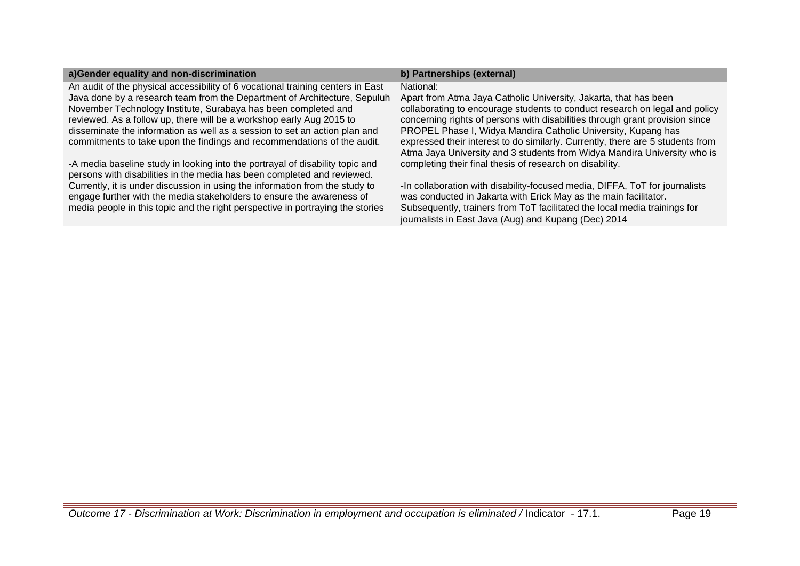| a)Gender equality and non-discrimination                                                                                                                                                                                                | b) Partnerships (external)                                                                                                                                                                                                                                                           |
|-----------------------------------------------------------------------------------------------------------------------------------------------------------------------------------------------------------------------------------------|--------------------------------------------------------------------------------------------------------------------------------------------------------------------------------------------------------------------------------------------------------------------------------------|
| An audit of the physical accessibility of 6 vocational training centers in East                                                                                                                                                         | National:                                                                                                                                                                                                                                                                            |
| Java done by a research team from the Department of Architecture, Sepuluh                                                                                                                                                               | Apart from Atma Jaya Catholic University, Jakarta, that has been                                                                                                                                                                                                                     |
| November Technology Institute, Surabaya has been completed and                                                                                                                                                                          | collaborating to encourage students to conduct research on legal and policy                                                                                                                                                                                                          |
| reviewed. As a follow up, there will be a workshop early Aug 2015 to                                                                                                                                                                    | concerning rights of persons with disabilities through grant provision since                                                                                                                                                                                                         |
| disseminate the information as well as a session to set an action plan and                                                                                                                                                              | PROPEL Phase I, Widya Mandira Catholic University, Kupang has                                                                                                                                                                                                                        |
| commitments to take upon the findings and recommendations of the audit.                                                                                                                                                                 | expressed their interest to do similarly. Currently, there are 5 students from                                                                                                                                                                                                       |
| -A media baseline study in looking into the portrayal of disability topic and                                                                                                                                                           | Atma Jaya University and 3 students from Widya Mandira University who is                                                                                                                                                                                                             |
| persons with disabilities in the media has been completed and reviewed.                                                                                                                                                                 | completing their final thesis of research on disability.                                                                                                                                                                                                                             |
| Currently, it is under discussion in using the information from the study to<br>engage further with the media stakeholders to ensure the awareness of<br>media people in this topic and the right perspective in portraying the stories | -In collaboration with disability-focused media, DIFFA, ToT for journalists<br>was conducted in Jakarta with Erick May as the main facilitator.<br>Subsequently, trainers from ToT facilitated the local media trainings for<br>journalists in East Java (Aug) and Kupang (Dec) 2014 |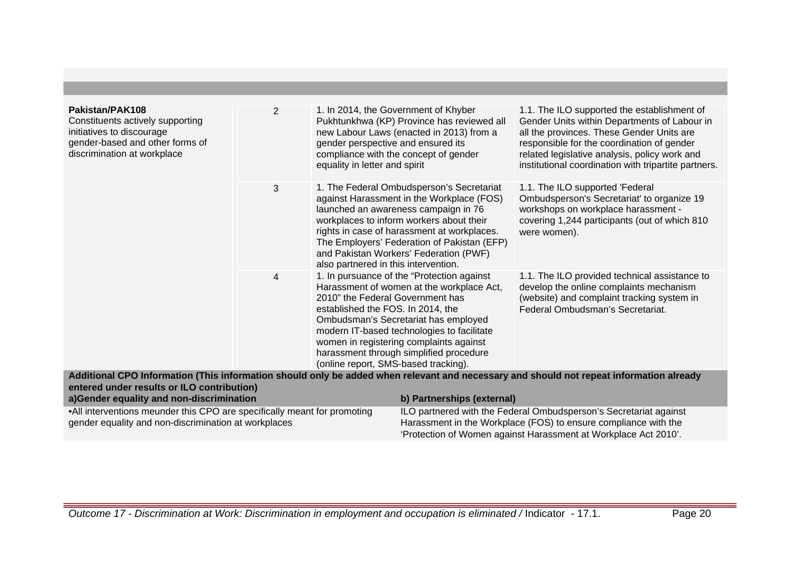| Pakistan/PAK108<br>Constituents actively supporting<br>initiatives to discourage<br>gender-based and other forms of<br>discrimination at workplace | $\overline{2}$ | 1. In 2014, the Government of Khyber<br>gender perspective and ensured its<br>equality in letter and spirit                                                                                                                                                                                                                                                                          | Pukhtunkhwa (KP) Province has reviewed all<br>new Labour Laws (enacted in 2013) from a<br>compliance with the concept of gender                                                                                                                                                                                    | 1.1. The ILO supported the establishment of<br>Gender Units within Departments of Labour in<br>all the provinces. These Gender Units are<br>responsible for the coordination of gender<br>related legislative analysis, policy work and<br>institutional coordination with tripartite partners. |  |
|----------------------------------------------------------------------------------------------------------------------------------------------------|----------------|--------------------------------------------------------------------------------------------------------------------------------------------------------------------------------------------------------------------------------------------------------------------------------------------------------------------------------------------------------------------------------------|--------------------------------------------------------------------------------------------------------------------------------------------------------------------------------------------------------------------------------------------------------------------------------------------------------------------|-------------------------------------------------------------------------------------------------------------------------------------------------------------------------------------------------------------------------------------------------------------------------------------------------|--|
|                                                                                                                                                    | 3              | also partnered in this intervention.                                                                                                                                                                                                                                                                                                                                                 | 1. The Federal Ombudsperson's Secretariat<br>against Harassment in the Workplace (FOS)<br>launched an awareness campaign in 76<br>workplaces to inform workers about their<br>rights in case of harassment at workplaces.<br>The Employers' Federation of Pakistan (EFP)<br>and Pakistan Workers' Federation (PWF) | 1.1. The ILO supported 'Federal<br>Ombudsperson's Secretariat' to organize 19<br>workshops on workplace harassment -<br>covering 1,244 participants (out of which 810<br>were women).                                                                                                           |  |
|                                                                                                                                                    | 4              | 1. In pursuance of the "Protection against<br>Harassment of women at the workplace Act,<br>2010" the Federal Government has<br>established the FOS. In 2014, the<br>Ombudsman's Secretariat has employed<br>modern IT-based technologies to facilitate<br>women in registering complaints against<br>harassment through simplified procedure<br>(online report, SMS-based tracking). |                                                                                                                                                                                                                                                                                                                    | 1.1. The ILO provided technical assistance to<br>develop the online complaints mechanism<br>(website) and complaint tracking system in<br>Federal Ombudsman's Secretariat.                                                                                                                      |  |
|                                                                                                                                                    |                |                                                                                                                                                                                                                                                                                                                                                                                      |                                                                                                                                                                                                                                                                                                                    | Additional CPO Information (This information should only be added when relevant and necessary and should not repeat information already                                                                                                                                                         |  |
| entered under results or ILO contribution)                                                                                                         |                |                                                                                                                                                                                                                                                                                                                                                                                      |                                                                                                                                                                                                                                                                                                                    |                                                                                                                                                                                                                                                                                                 |  |
| a)Gender equality and non-discrimination                                                                                                           |                |                                                                                                                                                                                                                                                                                                                                                                                      | b) Partnerships (external)                                                                                                                                                                                                                                                                                         |                                                                                                                                                                                                                                                                                                 |  |
| • All interventions meunder this CPO are specifically meant for promoting                                                                          |                |                                                                                                                                                                                                                                                                                                                                                                                      | ILO partnered with the Federal Ombudsperson's Secretariat against                                                                                                                                                                                                                                                  |                                                                                                                                                                                                                                                                                                 |  |
| gender equality and non-discrimination at workplaces                                                                                               |                |                                                                                                                                                                                                                                                                                                                                                                                      | Harassment in the Workplace (FOS) to ensure compliance with the                                                                                                                                                                                                                                                    |                                                                                                                                                                                                                                                                                                 |  |
|                                                                                                                                                    |                |                                                                                                                                                                                                                                                                                                                                                                                      |                                                                                                                                                                                                                                                                                                                    | 'Protection of Women against Harassment at Workplace Act 2010'.                                                                                                                                                                                                                                 |  |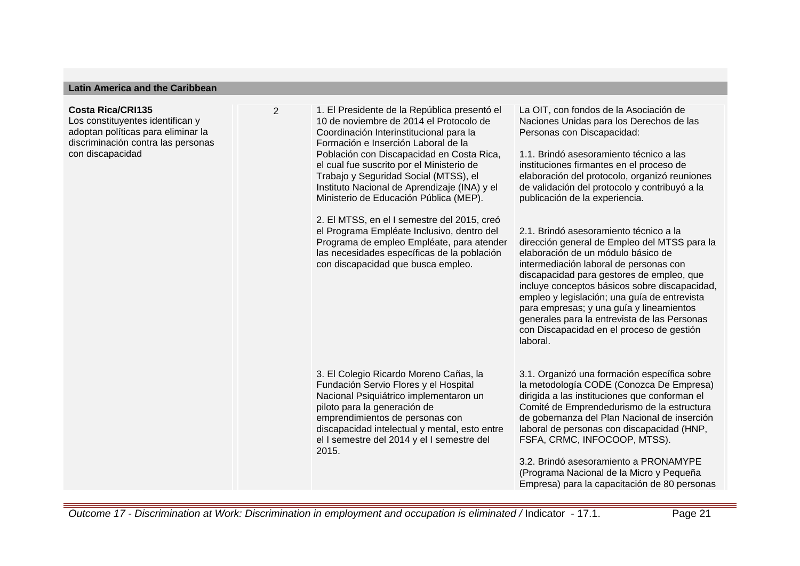#### **Latin America and the Caribbean**

#### **Costa Rica/CRI135**

Los constituyentes identifican y adoptan políticas para eliminar la discriminación contra las personas con discapacidad

2 1. El Presidente de la República presentó el 10 de noviembre de 2014 el Protocolo de Coordinación Interinstitucional para la Formación e Inserción Laboral de la Población con Discapacidad en Costa Rica, el cual fue suscrito por el Ministerio de Trabajo y Seguridad Social (MTSS), el Instituto Nacional de Aprendizaje (INA) y el Ministerio de Educación Pública (MEP). 2. El MTSS, en el I semestre del 2015, creó el Programa Empléate Inclusivo, dentro del Programa de empleo Empléate, para atender las necesidades específicas de la población con discapacidad que busca empleo.

> 3. El Colegio Ricardo Moreno Cañas, la Fundación Servio Flores y el Hospital Nacional Psiquiátrico implementaron un

discapacidad intelectual y mental, esto entre el I semestre del 2014 y el I semestre del

piloto para la generación de emprendimientos de personas con La OIT, con fondos de la Asociación de Naciones Unidas para los Derechos de las Personas con Discapacidad:

1.1. Brindó asesoramiento técnico a las instituciones firmantes en el proceso de elaboración del protocolo, organizó reuniones de validación del protocolo y contribuyó a la publicación de la experiencia.

2.1. Brindó asesoramiento técnico a la dirección general de Empleo del MTSS para la elaboración de un módulo básico de intermediación laboral de personas con discapacidad para gestores de empleo, que incluye conceptos básicos sobre discapacidad, empleo y legislación; una guía de entrevista para empresas; y una guía y lineamientos generales para la entrevista de las Personas con Discapacidad en el proceso de gestión laboral.

3.1. Organizó una formación específica sobre la metodología CODE (Conozca De Empresa) dirigida a las instituciones que conforman el Comité de Emprendedurismo de la estructura de gobernanza del Plan Nacional de inserción laboral de personas con discapacidad (HNP, FSFA, CRMC, INFOCOOP, MTSS).

3.2. Brindó asesoramiento a PRONAMYPE (Programa Nacional de la Micro y Pequeña Empresa) para la capacitación de 80 personas

2015.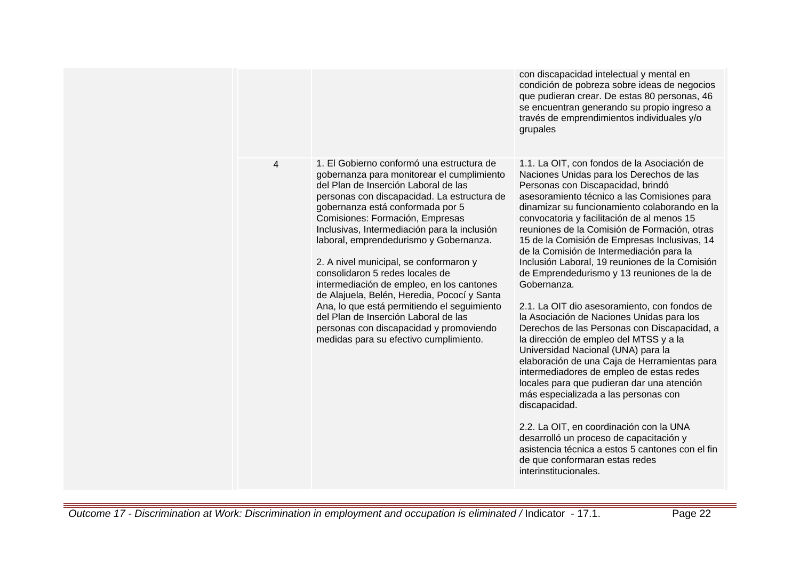|   |                                                                                                                                                                                                                                                                                                                                                                                                                                                                                                                                                                                                                                                                                                      | con discapacidad intelectual y mental en<br>condición de pobreza sobre ideas de negocios<br>que pudieran crear. De estas 80 personas, 46<br>se encuentran generando su propio ingreso a<br>través de emprendimientos individuales y/o<br>grupales                                                                                                                                                                                                                                                                                                                                                                                                                                                                                                                                                                                                                                                                                                                                                                                                                                                                                                                          |
|---|------------------------------------------------------------------------------------------------------------------------------------------------------------------------------------------------------------------------------------------------------------------------------------------------------------------------------------------------------------------------------------------------------------------------------------------------------------------------------------------------------------------------------------------------------------------------------------------------------------------------------------------------------------------------------------------------------|----------------------------------------------------------------------------------------------------------------------------------------------------------------------------------------------------------------------------------------------------------------------------------------------------------------------------------------------------------------------------------------------------------------------------------------------------------------------------------------------------------------------------------------------------------------------------------------------------------------------------------------------------------------------------------------------------------------------------------------------------------------------------------------------------------------------------------------------------------------------------------------------------------------------------------------------------------------------------------------------------------------------------------------------------------------------------------------------------------------------------------------------------------------------------|
| 4 | 1. El Gobierno conformó una estructura de<br>gobernanza para monitorear el cumplimiento<br>del Plan de Inserción Laboral de las<br>personas con discapacidad. La estructura de<br>gobernanza está conformada por 5<br>Comisiones: Formación, Empresas<br>Inclusivas, Intermediación para la inclusión<br>laboral, emprendedurismo y Gobernanza.<br>2. A nivel municipal, se conformaron y<br>consolidaron 5 redes locales de<br>intermediación de empleo, en los cantones<br>de Alajuela, Belén, Heredia, Pococí y Santa<br>Ana, lo que está permitiendo el seguimiento<br>del Plan de Inserción Laboral de las<br>personas con discapacidad y promoviendo<br>medidas para su efectivo cumplimiento. | 1.1. La OIT, con fondos de la Asociación de<br>Naciones Unidas para los Derechos de las<br>Personas con Discapacidad, brindó<br>asesoramiento técnico a las Comisiones para<br>dinamizar su funcionamiento colaborando en la<br>convocatoria y facilitación de al menos 15<br>reuniones de la Comisión de Formación, otras<br>15 de la Comisión de Empresas Inclusivas, 14<br>de la Comisión de Intermediación para la<br>Inclusión Laboral, 19 reuniones de la Comisión<br>de Emprendedurismo y 13 reuniones de la de<br>Gobernanza.<br>2.1. La OIT dio asesoramiento, con fondos de<br>la Asociación de Naciones Unidas para los<br>Derechos de las Personas con Discapacidad, a<br>la dirección de empleo del MTSS y a la<br>Universidad Nacional (UNA) para la<br>elaboración de una Caja de Herramientas para<br>intermediadores de empleo de estas redes<br>locales para que pudieran dar una atención<br>más especializada a las personas con<br>discapacidad.<br>2.2. La OIT, en coordinación con la UNA<br>desarrolló un proceso de capacitación y<br>asistencia técnica a estos 5 cantones con el fin<br>de que conformaran estas redes<br>interinstitucionales. |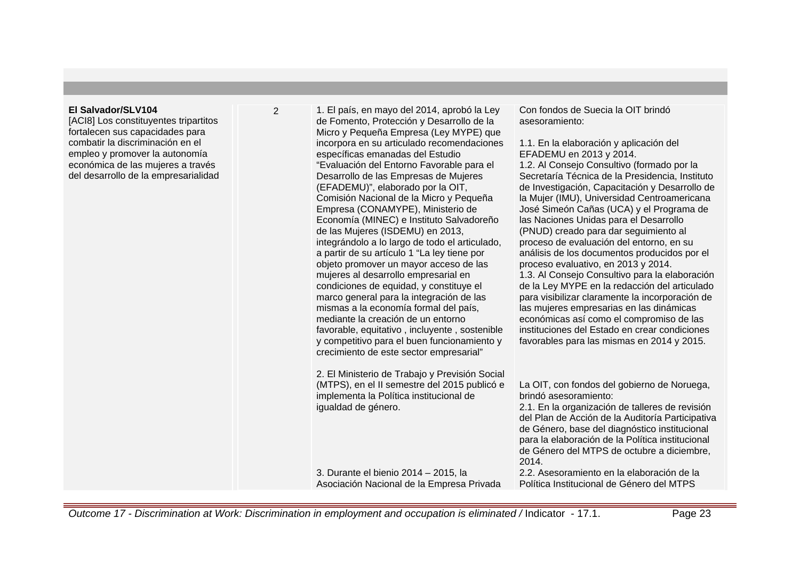## **El Salvador/SLV104**

[ACI8] Los constituyentes tripartitos fortalecen sus capacidades para combatir la discriminación en el empleo y promover la autonomía económica de las mujeres a través del desarrollo de la empresarialidad 2 1. El país, en mayo del 2014, aprobó la Ley de Fomento, Protección y Desarrollo de la Micro y Pequeña Empresa (Ley MYPE) que incorpora en su articulado recomendaciones específicas emanadas del Estudio "Evaluación del Entorno Favorable para el Desarrollo de las Empresas de Mujeres (EFADEMU)", elaborado por la OIT, Comisión Nacional de la Micro y Pequeña Empresa (CONAMYPE), Ministerio de Economía (MINEC) e Instituto Salvadoreño de las Mujeres (ISDEMU) en 2013, integrándolo a lo largo de todo el articulado, a partir de su artículo 1 "La ley tiene por objeto promover un mayor acceso de las mujeres al desarrollo empresarial en condiciones de equidad, y constituye el marco general para la integración de las mismas a la economía formal del país, mediante la creación de un entorno favorable, equitativo , incluyente , sostenible y competitivo para el buen funcionamiento y crecimiento de este sector empresarial" 2. El Ministerio de Trabajo y Previsión Social

(MTPS), en el II semestre del 2015 publicó e implementa la Política institucional de igualdad de género.

3. Durante el bienio 2014 – 2015, la Asociación Nacional de la Empresa Privada Con fondos de Suecia la OIT brindó asesoramiento:

## 1.1. En la elaboración y aplicación del EFADEMU en 2013 y 2014.

1.2. Al Consejo Consultivo (formado por la Secretaría Técnica de la Presidencia, Instituto de Investigación, Capacitación y Desarrollo de la Mujer (IMU), Universidad Centroamericana José Simeón Cañas (UCA) y el Programa de las Naciones Unidas para el Desarrollo (PNUD) creado para dar seguimiento al proceso de evaluación del entorno, en su análisis de los documentos producidos por el proceso evaluativo, en 2013 y 2014. 1.3. Al Consejo Consultivo para la elaboración de la Ley MYPE en la redacción del articulado para visibilizar claramente la incorporación de las mujeres empresarias en las dinámicas económicas así como el compromiso de las instituciones del Estado en crear condiciones favorables para las mismas en 2014 y 2015.

La OIT, con fondos del gobierno de Noruega, brindó asesoramiento: 2.1. En la organización de talleres de revisión del Plan de Acción de la Auditoría Participativa de Género, base del diagnóstico institucional para la elaboración de la Política institucional de Género del MTPS de octubre a diciembre, 2014.

2.2. Asesoramiento en la elaboración de la Política Institucional de Género del MTPS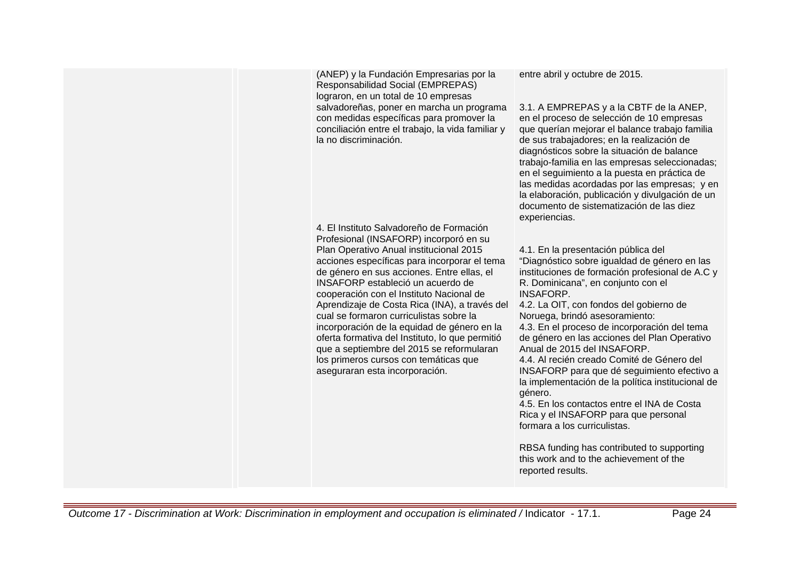(ANEP) y la Fundación Empresarias por la Responsabilidad Social (EMPREPAS) lograron, en un total de 10 empresas salvadoreñas, poner en marcha un programa con medidas específicas para promover la conciliación entre el trabajo, la vida familiar y la no discriminación.

4. El Instituto Salvadoreño de Formación Profesional (INSAFORP) incorporó en su Plan Operativo Anual institucional 2015 acciones específicas para incorporar el tema de género en sus acciones. Entre ellas, el INSAFORP estableció un acuerdo de cooperación con el Instituto Nacional de Aprendizaje de Costa Rica (INA), a través del cual se formaron curriculistas sobre la incorporación de la equidad de género en la oferta formativa del Instituto, lo que permitió que a septiembre del 2015 se reformularan los primeros cursos con temáticas que aseguraran esta incorporación.

entre abril y octubre de 2015.

3.1. A EMPREPAS y a la CBTF de la ANEP, en el proceso de selección de 10 empresas que querían mejorar el balance trabajo familia de sus trabajadores; en la realización de diagnósticos sobre la situación de balance trabajo-familia en las empresas seleccionadas; en el seguimiento a la puesta en práctica de las medidas acordadas por las empresas; y en la elaboración, publicación y divulgación de un documento de sistematización de las diez experiencias.

4.1. En la presentación pública del "Diagnóstico sobre igualdad de género en las instituciones de formación profesional de A.C y R. Dominicana", en conjunto con el **INSAFORP** 

4.2. La OIT, con fondos del gobierno de Noruega, brindó asesoramiento: 4.3. En el proceso de incorporación del tema de género en las acciones del Plan Operativo Anual de 2015 del INSAFORP.

4.4. Al recién creado Comité de Género del INSAFORP para que dé seguimiento efectivo a la implementación de la política institucional de género.

4.5. En los contactos entre el INA de Costa Rica y el INSAFORP para que personal formara a los curriculistas.

RBSA funding has contributed to supporting this work and to the achievement of the reported results.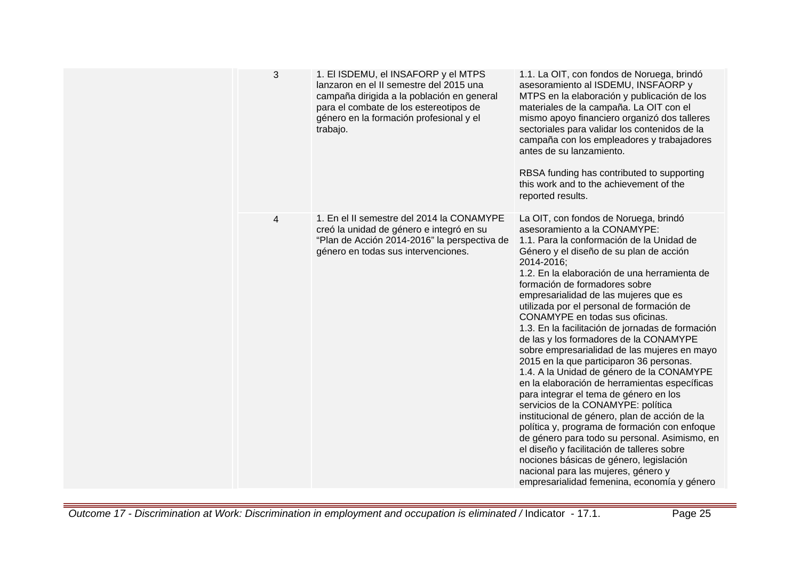| 3 | 1. El ISDEMU, el INSAFORP y el MTPS<br>lanzaron en el II semestre del 2015 una<br>campaña dirigida a la población en general<br>para el combate de los estereotipos de<br>género en la formación profesional y el<br>trabajo. | 1.1. La OIT, con fondos de Noruega, brindó<br>asesoramiento al ISDEMU, INSFAORP y<br>MTPS en la elaboración y publicación de los<br>materiales de la campaña. La OIT con el<br>mismo apoyo financiero organizó dos talleres<br>sectoriales para validar los contenidos de la<br>campaña con los empleadores y trabajadores<br>antes de su lanzamiento.<br>RBSA funding has contributed to supporting<br>this work and to the achievement of the<br>reported results.                                                                                                                                                                                                                                                                                                                                                                                                                                                                                                                                                                                                                            |
|---|-------------------------------------------------------------------------------------------------------------------------------------------------------------------------------------------------------------------------------|-------------------------------------------------------------------------------------------------------------------------------------------------------------------------------------------------------------------------------------------------------------------------------------------------------------------------------------------------------------------------------------------------------------------------------------------------------------------------------------------------------------------------------------------------------------------------------------------------------------------------------------------------------------------------------------------------------------------------------------------------------------------------------------------------------------------------------------------------------------------------------------------------------------------------------------------------------------------------------------------------------------------------------------------------------------------------------------------------|
| 4 | 1. En el II semestre del 2014 la CONAMYPE<br>creó la unidad de género e integró en su<br>"Plan de Acción 2014-2016" la perspectiva de<br>género en todas sus intervenciones.                                                  | La OIT, con fondos de Noruega, brindó<br>asesoramiento a la CONAMYPE:<br>1.1. Para la conformación de la Unidad de<br>Género y el diseño de su plan de acción<br>2014-2016;<br>1.2. En la elaboración de una herramienta de<br>formación de formadores sobre<br>empresarialidad de las mujeres que es<br>utilizada por el personal de formación de<br>CONAMYPE en todas sus oficinas.<br>1.3. En la facilitación de jornadas de formación<br>de las y los formadores de la CONAMYPE<br>sobre empresarialidad de las mujeres en mayo<br>2015 en la que participaron 36 personas.<br>1.4. A la Unidad de género de la CONAMYPE<br>en la elaboración de herramientas específicas<br>para integrar el tema de género en los<br>servicios de la CONAMYPE: política<br>institucional de género, plan de acción de la<br>política y, programa de formación con enfoque<br>de género para todo su personal. Asimismo, en<br>el diseño y facilitación de talleres sobre<br>nociones básicas de género, legislación<br>nacional para las mujeres, género y<br>empresarialidad femenina, economía y género |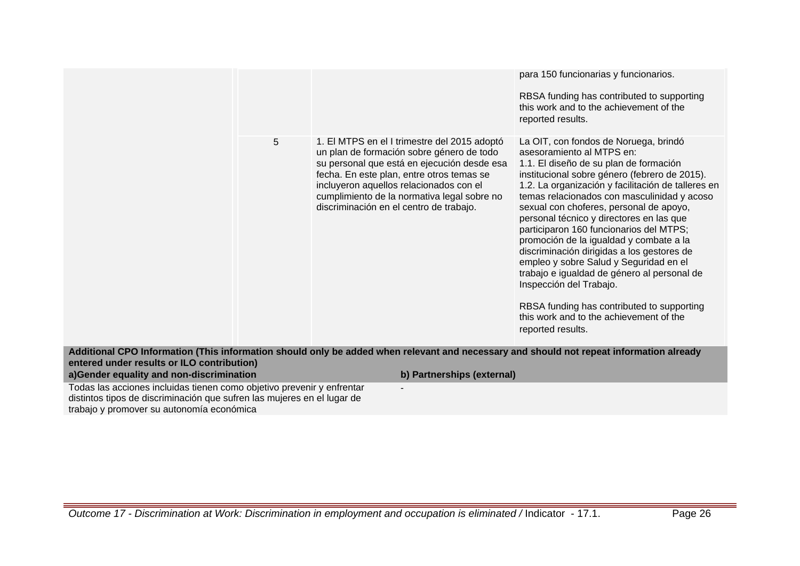para 150 funcionarias y funcionarios. RBSA funding has contributed to supporting this work and to the achievement of the reported results. 5 1. El MTPS en el I trimestre del 2015 adoptó un plan de formación sobre género de todo su personal que está en ejecución desde esa fecha. En este plan, entre otros temas se incluyeron aquellos relacionados con el cumplimiento de la normativa legal sobre no discriminación en el centro de trabajo. La OIT, con fondos de Noruega, brindó asesoramiento al MTPS en: 1.1. El diseño de su plan de formación institucional sobre género (febrero de 2015). 1.2. La organización y facilitación de talleres en temas relacionados con masculinidad y acoso sexual con choferes, personal de apoyo, personal técnico y directores en las que participaron 160 funcionarios del MTPS; promoción de la igualdad y combate a la discriminación dirigidas a los gestores de empleo y sobre Salud y Seguridad en el trabajo e igualdad de género al personal de Inspección del Trabajo. RBSA funding has contributed to supporting this work and to the achievement of the reported results.

**Additional CPO Information (This information should only be added when relevant and necessary and should not repeat information already entered under results or ILO contribution) a)Gender equality and non-discrimination b) Partnerships (external)**

-

Todas las acciones incluidas tienen como objetivo prevenir y enfrentar distintos tipos de discriminación que sufren las mujeres en el lugar de trabajo y promover su autonomía económica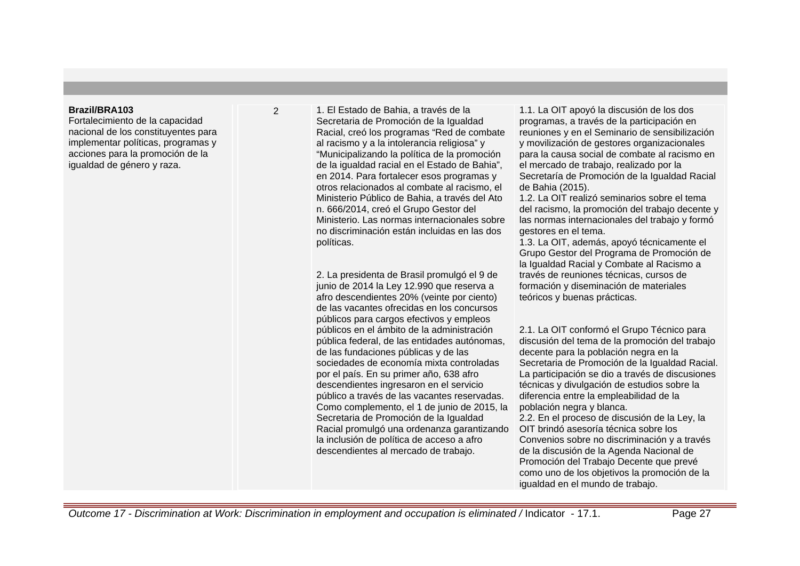#### **Brazil/BRA103**

Fortalecimiento de la capacidad nacional de los constituyentes para implementar políticas, programas y acciones para la promoción de la igualdad de género y raza.

2 1. El Estado de Bahia, a través de la Secretaria de Promoción de la Igualdad Racial, creó los programas "Red de combate al racismo y a la intolerancia religiosa" y "Municipalizando la política de la promoción de la igualdad racial en el Estado de Bahia", en 2014. Para fortalecer esos programas y otros relacionados al combate al racismo, el Ministerio Público de Bahia, a través del Ato n. 666/2014, creó el Grupo Gestor del Ministerio. Las normas internacionales sobre no discriminación están incluidas en las dos políticas.

> 2. La presidenta de Brasil promulgó el 9 de junio de 2014 la Ley 12.990 que reserva a afro descendientes 20% (veinte por ciento) de las vacantes ofrecidas en los concursos públicos para cargos efectivos y empleos públicos en el ámbito de la administración pública federal, de las entidades autónomas, de las fundaciones públicas y de las sociedades de economía mixta controladas por el país. En su primer año, 638 afro descendientes ingresaron en el servicio público a través de las vacantes reservadas. Como complemento, el 1 de junio de 2015, la Secretaria de Promoción de la Igualdad Racial promulgó una ordenanza garantizando la inclusión de política de acceso a afro descendientes al mercado de trabajo.

1.1. La OIT apoyó la discusión de los dos programas, a través de la participación en reuniones y en el Seminario de sensibilización y movilización de gestores organizacionales para la causa social de combate al racismo en el mercado de trabajo, realizado por la Secretaría de Promoción de la Igualdad Racial de Bahia (2015).

1.2. La OIT realizó seminarios sobre el tema del racismo, la promoción del trabajo decente y las normas internacionales del trabajo y formó gestores en el tema.

1.3. La OIT, además, apoyó técnicamente el Grupo Gestor del Programa de Promoción de la Igualdad Racial y Combate al Racismo a través de reuniones técnicas, cursos de formación y diseminación de materiales teóricos y buenas prácticas.

2.1. La OIT conformó el Grupo Técnico para discusión del tema de la promoción del trabajo decente para la población negra en la Secretaria de Promoción de la Igualdad Racial. La participación se dio a través de discusiones técnicas y divulgación de estudios sobre la diferencia entre la empleabilidad de la población negra y blanca.

2.2. En el proceso de discusión de la Ley, la OIT brindó asesoría técnica sobre los Convenios sobre no discriminación y a través de la discusión de la Agenda Nacional de Promoción del Trabajo Decente que prevé como uno de los objetivos la promoción de la igualdad en el mundo de trabajo.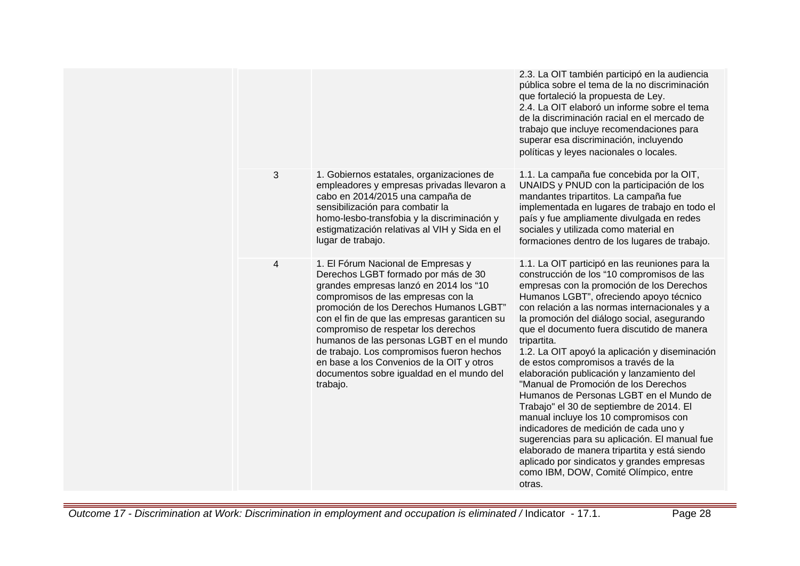|                |                                                                                                                                                                                                                                                                                                                                                                                                                                                                                            | 2.3. La OIT también participó en la audiencia<br>pública sobre el tema de la no discriminación<br>que fortaleció la propuesta de Ley.<br>2.4. La OIT elaboró un informe sobre el tema<br>de la discriminación racial en el mercado de<br>trabajo que incluye recomendaciones para<br>superar esa discriminación, incluyendo<br>políticas y leyes nacionales o locales.                                                                                                                                                                                                                                                                                                                                                                                                                                                                                                                                     |
|----------------|--------------------------------------------------------------------------------------------------------------------------------------------------------------------------------------------------------------------------------------------------------------------------------------------------------------------------------------------------------------------------------------------------------------------------------------------------------------------------------------------|------------------------------------------------------------------------------------------------------------------------------------------------------------------------------------------------------------------------------------------------------------------------------------------------------------------------------------------------------------------------------------------------------------------------------------------------------------------------------------------------------------------------------------------------------------------------------------------------------------------------------------------------------------------------------------------------------------------------------------------------------------------------------------------------------------------------------------------------------------------------------------------------------------|
| 3              | 1. Gobiernos estatales, organizaciones de<br>empleadores y empresas privadas llevaron a<br>cabo en 2014/2015 una campaña de<br>sensibilización para combatir la<br>homo-lesbo-transfobia y la discriminación y<br>estigmatización relativas al VIH y Sida en el<br>lugar de trabajo.                                                                                                                                                                                                       | 1.1. La campaña fue concebida por la OIT,<br>UNAIDS y PNUD con la participación de los<br>mandantes tripartitos. La campaña fue<br>implementada en lugares de trabajo en todo el<br>país y fue ampliamente divulgada en redes<br>sociales y utilizada como material en<br>formaciones dentro de los lugares de trabajo.                                                                                                                                                                                                                                                                                                                                                                                                                                                                                                                                                                                    |
| $\overline{4}$ | 1. El Fórum Nacional de Empresas y<br>Derechos LGBT formado por más de 30<br>grandes empresas lanzó en 2014 los "10<br>compromisos de las empresas con la<br>promoción de los Derechos Humanos LGBT"<br>con el fin de que las empresas garanticen su<br>compromiso de respetar los derechos<br>humanos de las personas LGBT en el mundo<br>de trabajo. Los compromisos fueron hechos<br>en base a los Convenios de la OIT y otros<br>documentos sobre igualdad en el mundo del<br>trabajo. | 1.1. La OIT participó en las reuniones para la<br>construcción de los "10 compromisos de las<br>empresas con la promoción de los Derechos<br>Humanos LGBT", ofreciendo apoyo técnico<br>con relación a las normas internacionales y a<br>la promoción del diálogo social, asegurando<br>que el documento fuera discutido de manera<br>tripartita.<br>1.2. La OIT apoyó la aplicación y diseminación<br>de estos compromisos a través de la<br>elaboración publicación y lanzamiento del<br>"Manual de Promoción de los Derechos<br>Humanos de Personas LGBT en el Mundo de<br>Trabajo" el 30 de septiembre de 2014. El<br>manual incluye los 10 compromisos con<br>indicadores de medición de cada uno y<br>sugerencias para su aplicación. El manual fue<br>elaborado de manera tripartita y está siendo<br>aplicado por sindicatos y grandes empresas<br>como IBM, DOW, Comité Olímpico, entre<br>otras. |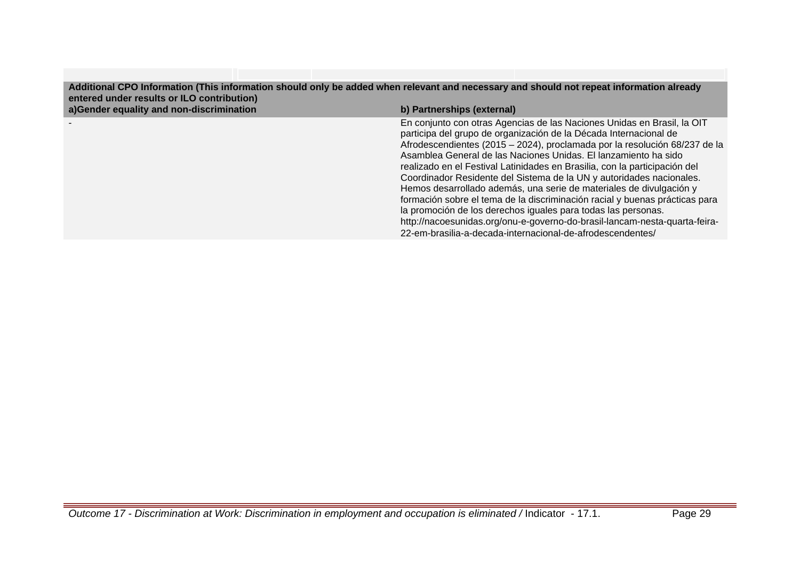| Additional CPO Information (This information should only be added when relevant and necessary and should not repeat information already<br>entered under results or ILO contribution) |                                                                                                                                                                                                                                                                                                                                                                                                                                                                                                                                                                                                                                                                                                                                                                                                                        |
|---------------------------------------------------------------------------------------------------------------------------------------------------------------------------------------|------------------------------------------------------------------------------------------------------------------------------------------------------------------------------------------------------------------------------------------------------------------------------------------------------------------------------------------------------------------------------------------------------------------------------------------------------------------------------------------------------------------------------------------------------------------------------------------------------------------------------------------------------------------------------------------------------------------------------------------------------------------------------------------------------------------------|
| a)Gender equality and non-discrimination                                                                                                                                              | b) Partnerships (external)                                                                                                                                                                                                                                                                                                                                                                                                                                                                                                                                                                                                                                                                                                                                                                                             |
|                                                                                                                                                                                       | En conjunto con otras Agencias de las Naciones Unidas en Brasil, la OIT<br>participa del grupo de organización de la Década Internacional de<br>Afrodescendientes (2015 - 2024), proclamada por la resolución 68/237 de la<br>Asamblea General de las Naciones Unidas. El lanzamiento ha sido<br>realizado en el Festival Latinidades en Brasilia, con la participación del<br>Coordinador Residente del Sistema de la UN y autoridades nacionales.<br>Hemos desarrollado además, una serie de materiales de divulgación y<br>formación sobre el tema de la discriminación racial y buenas prácticas para<br>la promoción de los derechos iguales para todas las personas.<br>http://nacoesunidas.org/onu-e-governo-do-brasil-lancam-nesta-quarta-feira-<br>22-em-brasilia-a-decada-internacional-de-afrodescendentes/ |